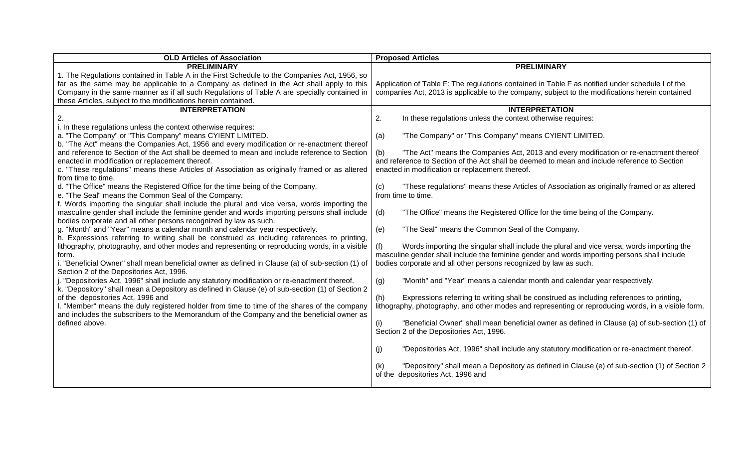| <b>OLD Articles of Association</b>                                                                                                                                                               | <b>Proposed Articles</b>                                                                                   |
|--------------------------------------------------------------------------------------------------------------------------------------------------------------------------------------------------|------------------------------------------------------------------------------------------------------------|
| <b>PRELIMINARY</b>                                                                                                                                                                               | <b>PRELIMINARY</b>                                                                                         |
| 1. The Regulations contained in Table A in the First Schedule to the Companies Act, 1956, so                                                                                                     |                                                                                                            |
| far as the same may be applicable to a Company as defined in the Act shall apply to this                                                                                                         | Application of Table F: The regulations contained in Table F as notified under schedule I of the           |
| Company in the same manner as if all such Regulations of Table A are specially contained in                                                                                                      | companies Act, 2013 is applicable to the company, subject to the modifications herein contained            |
| these Articles, subject to the modifications herein contained.                                                                                                                                   |                                                                                                            |
| <b>INTERPRETATION</b>                                                                                                                                                                            | <b>INTERPRETATION</b>                                                                                      |
| 2.                                                                                                                                                                                               | 2.<br>In these regulations unless the context otherwise requires:                                          |
| i. In these regulations unless the context otherwise requires:                                                                                                                                   |                                                                                                            |
| a. "The Company" or "This Company" means CYIENT LIMITED.                                                                                                                                         | "The Company" or "This Company" means CYIENT LIMITED.<br>(a)                                               |
| b. "The Act" means the Companies Act, 1956 and every modification or re-enactment thereof                                                                                                        |                                                                                                            |
| and reference to Section of the Act shall be deemed to mean and include reference to Section                                                                                                     | "The Act" means the Companies Act, 2013 and every modification or re-enactment thereof<br>(b)              |
| enacted in modification or replacement thereof.                                                                                                                                                  | and reference to Section of the Act shall be deemed to mean and include reference to Section               |
| c. "These regulations" means these Articles of Association as originally framed or as altered                                                                                                    | enacted in modification or replacement thereof.                                                            |
| from time to time.                                                                                                                                                                               |                                                                                                            |
| d. "The Office" means the Registered Office for the time being of the Company.                                                                                                                   | "These regulations" means these Articles of Association as originally framed or as altered<br>(c)          |
| e. "The Seal" means the Common Seal of the Company.                                                                                                                                              | from time to time.                                                                                         |
| f. Words importing the singular shall include the plural and vice versa, words importing the                                                                                                     |                                                                                                            |
| masculine gender shall include the feminine gender and words importing persons shall include                                                                                                     | (d)<br>"The Office" means the Registered Office for the time being of the Company.                         |
| bodies corporate and all other persons recognized by law as such.                                                                                                                                |                                                                                                            |
| g. "Month" and "Year" means a calendar month and calendar year respectively.                                                                                                                     | "The Seal" means the Common Seal of the Company.<br>(e)                                                    |
| h. Expressions referring to writing shall be construed as including references to printing,                                                                                                      |                                                                                                            |
| lithography, photography, and other modes and representing or reproducing words, in a visible                                                                                                    | Words importing the singular shall include the plural and vice versa, words importing the                  |
| form.                                                                                                                                                                                            | masculine gender shall include the feminine gender and words importing persons shall include               |
| i. "Beneficial Owner" shall mean beneficial owner as defined in Clause (a) of sub-section (1) of                                                                                                 | bodies corporate and all other persons recognized by law as such.                                          |
| Section 2 of the Depositories Act, 1996.                                                                                                                                                         |                                                                                                            |
| . "Depositories Act, 1996" shall include any statutory modification or re-enactment thereof.<br>k. "Depository" shall mean a Depository as defined in Clause (e) of sub-section (1) of Section 2 | (g)<br>"Month" and "Year" means a calendar month and calendar year respectively.                           |
| of the depositories Act, 1996 and                                                                                                                                                                | Expressions referring to writing shall be construed as including references to printing,                   |
| . "Member" means the duly registered holder from time to time of the shares of the company                                                                                                       | (h)<br>lithography, photography, and other modes and representing or reproducing words, in a visible form. |
| and includes the subscribers to the Memorandum of the Company and the beneficial owner as                                                                                                        |                                                                                                            |
| defined above.                                                                                                                                                                                   | "Beneficial Owner" shall mean beneficial owner as defined in Clause (a) of sub-section (1) of              |
|                                                                                                                                                                                                  | Section 2 of the Depositories Act, 1996.                                                                   |
|                                                                                                                                                                                                  |                                                                                                            |
|                                                                                                                                                                                                  | "Depositories Act, 1996" shall include any statutory modification or re-enactment thereof.<br>(i)          |
|                                                                                                                                                                                                  |                                                                                                            |
|                                                                                                                                                                                                  | "Depository" shall mean a Depository as defined in Clause (e) of sub-section (1) of Section 2              |
|                                                                                                                                                                                                  | of the depositories Act, 1996 and                                                                          |
|                                                                                                                                                                                                  |                                                                                                            |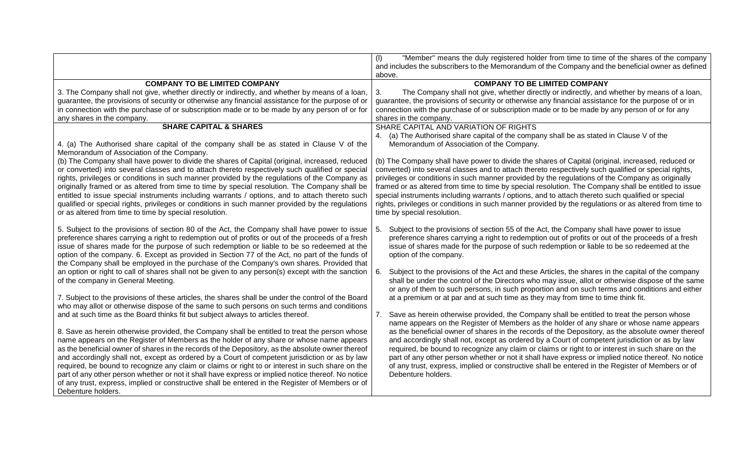|                                                                                                                                                                                                                                                                                                                                                                                                                                                                                                                                                                                                                                                                                                                                                                                                                                                                                                                                                                                                                                                                                                                                                                                                                                                                                                                                                                                                                                                                                                                                                                                                                                                     | "Member" means the duly registered holder from time to time of the shares of the company<br>(1)<br>and includes the subscribers to the Memorandum of the Company and the beneficial owner as defined<br>above.                                                                                                                                                                                                                                                                                                                                                                                                                                                                                                                                                                                                                                                                                                                                                                                                                                                                                                                                                                                                                                                                                                                                                                                                                                                             |
|-----------------------------------------------------------------------------------------------------------------------------------------------------------------------------------------------------------------------------------------------------------------------------------------------------------------------------------------------------------------------------------------------------------------------------------------------------------------------------------------------------------------------------------------------------------------------------------------------------------------------------------------------------------------------------------------------------------------------------------------------------------------------------------------------------------------------------------------------------------------------------------------------------------------------------------------------------------------------------------------------------------------------------------------------------------------------------------------------------------------------------------------------------------------------------------------------------------------------------------------------------------------------------------------------------------------------------------------------------------------------------------------------------------------------------------------------------------------------------------------------------------------------------------------------------------------------------------------------------------------------------------------------------|----------------------------------------------------------------------------------------------------------------------------------------------------------------------------------------------------------------------------------------------------------------------------------------------------------------------------------------------------------------------------------------------------------------------------------------------------------------------------------------------------------------------------------------------------------------------------------------------------------------------------------------------------------------------------------------------------------------------------------------------------------------------------------------------------------------------------------------------------------------------------------------------------------------------------------------------------------------------------------------------------------------------------------------------------------------------------------------------------------------------------------------------------------------------------------------------------------------------------------------------------------------------------------------------------------------------------------------------------------------------------------------------------------------------------------------------------------------------------|
| <b>COMPANY TO BE LIMITED COMPANY</b><br>3. The Company shall not give, whether directly or indirectly, and whether by means of a loan,<br>guarantee, the provisions of security or otherwise any financial assistance for the purpose of or<br>in connection with the purchase of or subscription made or to be made by any person of or for<br>any shares in the company.                                                                                                                                                                                                                                                                                                                                                                                                                                                                                                                                                                                                                                                                                                                                                                                                                                                                                                                                                                                                                                                                                                                                                                                                                                                                          | <b>COMPANY TO BE LIMITED COMPANY</b><br>The Company shall not give, whether directly or indirectly, and whether by means of a loan,<br>3.<br>guarantee, the provisions of security or otherwise any financial assistance for the purpose of or in<br>connection with the purchase of or subscription made or to be made by any person of or for any<br>shares in the company.                                                                                                                                                                                                                                                                                                                                                                                                                                                                                                                                                                                                                                                                                                                                                                                                                                                                                                                                                                                                                                                                                              |
| <b>SHARE CAPITAL &amp; SHARES</b><br>4. (a) The Authorised share capital of the company shall be as stated in Clause V of the<br>Memorandum of Association of the Company.<br>(b) The Company shall have power to divide the shares of Capital (original, increased, reduced<br>or converted) into several classes and to attach thereto respectively such qualified or special<br>rights, privileges or conditions in such manner provided by the regulations of the Company as<br>originally framed or as altered from time to time by special resolution. The Company shall be<br>entitled to issue special instruments including warrants / options, and to attach thereto such<br>qualified or special rights, privileges or conditions in such manner provided by the regulations<br>or as altered from time to time by special resolution.                                                                                                                                                                                                                                                                                                                                                                                                                                                                                                                                                                                                                                                                                                                                                                                                   | SHARE CAPITAL AND VARIATION OF RIGHTS<br>4. (a) The Authorised share capital of the company shall be as stated in Clause V of the<br>Memorandum of Association of the Company.<br>(b) The Company shall have power to divide the shares of Capital (original, increased, reduced or<br>converted) into several classes and to attach thereto respectively such qualified or special rights,<br>privileges or conditions in such manner provided by the regulations of the Company as originally<br>framed or as altered from time to time by special resolution. The Company shall be entitled to issue<br>special instruments including warrants / options, and to attach thereto such qualified or special<br>rights, privileges or conditions in such manner provided by the regulations or as altered from time to<br>time by special resolution.                                                                                                                                                                                                                                                                                                                                                                                                                                                                                                                                                                                                                      |
| 5. Subject to the provisions of section 80 of the Act, the Company shall have power to issue<br>preference shares carrying a right to redemption out of profits or out of the proceeds of a fresh<br>issue of shares made for the purpose of such redemption or liable to be so redeemed at the<br>option of the company. 6. Except as provided in Section 77 of the Act, no part of the funds of<br>the Company shall be employed in the purchase of the Company's own shares. Provided that<br>an option or right to call of shares shall not be given to any person(s) except with the sanction<br>of the company in General Meeting.<br>7. Subject to the provisions of these articles, the shares shall be under the control of the Board<br>who may allot or otherwise dispose of the same to such persons on such terms and conditions<br>and at such time as the Board thinks fit but subject always to articles thereof.<br>8. Save as herein otherwise provided, the Company shall be entitled to treat the person whose<br>name appears on the Register of Members as the holder of any share or whose name appears<br>as the beneficial owner of shares in the records of the Depository, as the absolute owner thereof<br>and accordingly shall not, except as ordered by a Court of competent jurisdiction or as by law<br>required, be bound to recognize any claim or claims or right to or interest in such share on the<br>part of any other person whether or not it shall have express or implied notice thereof. No notice<br>of any trust, express, implied or constructive shall be entered in the Register of Members or of | Subject to the provisions of section 55 of the Act, the Company shall have power to issue<br>5.<br>preference shares carrying a right to redemption out of profits or out of the proceeds of a fresh<br>issue of shares made for the purpose of such redemption or liable to be so redeemed at the<br>option of the company.<br>Subject to the provisions of the Act and these Articles, the shares in the capital of the company<br>6.<br>shall be under the control of the Directors who may issue, allot or otherwise dispose of the same<br>or any of them to such persons, in such proportion and on such terms and conditions and either<br>at a premium or at par and at such time as they may from time to time think fit.<br>7. Save as herein otherwise provided, the Company shall be entitled to treat the person whose<br>name appears on the Register of Members as the holder of any share or whose name appears<br>as the beneficial owner of shares in the records of the Depository, as the absolute owner thereof<br>and accordingly shall not, except as ordered by a Court of competent jurisdiction or as by law<br>required, be bound to recognize any claim or claims or right to or interest in such share on the<br>part of any other person whether or not it shall have express or implied notice thereof. No notice<br>of any trust, express, implied or constructive shall be entered in the Register of Members or of<br>Debenture holders. |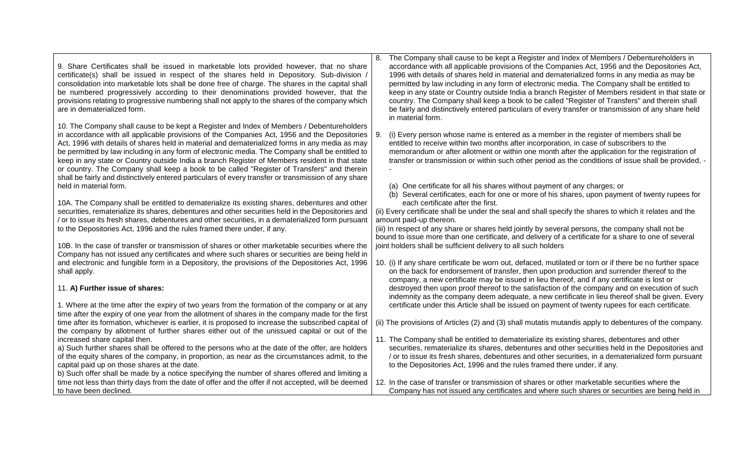| 9. Share Certificates shall be issued in marketable lots provided however, that no share<br>certificate(s) shall be issued in respect of the shares held in Depository. Sub-division /<br>consolidation into marketable lots shall be done free of charge. The shares in the capital shall<br>be numbered progressively according to their denominations provided however, that the<br>provisions relating to progressive numbering shall not apply to the shares of the company which<br>are in dematerialized form.                                                                                                                                                                                                            | The Company shall cause to be kept a Register and Index of Members / Debentureholders in<br>8.<br>accordance with all applicable provisions of the Companies Act, 1956 and the Depositories Act,<br>1996 with details of shares held in material and dematerialized forms in any media as may be<br>permitted by law including in any form of electronic media. The Company shall be entitled to<br>keep in any state or Country outside India a branch Register of Members resident in that state or<br>country. The Company shall keep a book to be called "Register of Transfers" and therein shall<br>be fairly and distinctively entered particulars of every transfer or transmission of any share held<br>in material form. |
|----------------------------------------------------------------------------------------------------------------------------------------------------------------------------------------------------------------------------------------------------------------------------------------------------------------------------------------------------------------------------------------------------------------------------------------------------------------------------------------------------------------------------------------------------------------------------------------------------------------------------------------------------------------------------------------------------------------------------------|------------------------------------------------------------------------------------------------------------------------------------------------------------------------------------------------------------------------------------------------------------------------------------------------------------------------------------------------------------------------------------------------------------------------------------------------------------------------------------------------------------------------------------------------------------------------------------------------------------------------------------------------------------------------------------------------------------------------------------|
| 10. The Company shall cause to be kept a Register and Index of Members / Debentureholders<br>in accordance with all applicable provisions of the Companies Act, 1956 and the Depositories<br>Act, 1996 with details of shares held in material and dematerialized forms in any media as may<br>be permitted by law including in any form of electronic media. The Company shall be entitled to<br>keep in any state or Country outside India a branch Register of Members resident in that state<br>or country. The Company shall keep a book to be called "Register of Transfers" and therein<br>shall be fairly and distinctively entered particulars of every transfer or transmission of any share<br>held in material form. | (i) Every person whose name is entered as a member in the register of members shall be<br>9.<br>entitled to receive within two months after incorporation, in case of subscribers to the<br>memorandum or after allotment or within one month after the application for the registration of<br>transfer or transmission or within such other period as the conditions of issue shall be provided, -<br>(a) One certificate for all his shares without payment of any charges; or<br>(b) Several certificates, each for one or more of his shares, upon payment of twenty rupees for                                                                                                                                                |
| 10A. The Company shall be entitled to dematerialize its existing shares, debentures and other<br>securities, rematerialize its shares, debentures and other securities held in the Depositories and<br>/ or to issue its fresh shares, debentures and other securities, in a dematerialized form pursuant<br>to the Depositories Act, 1996 and the rules framed there under, if any.<br>10B. In the case of transfer or transmission of shares or other marketable securities where the                                                                                                                                                                                                                                          | each certificate after the first.<br>(ii) Every certificate shall be under the seal and shall specify the shares to which it relates and the<br>amount paid-up thereon.<br>(iii) In respect of any share or shares held jointly by several persons, the company shall not be<br>bound to issue more than one certificate, and delivery of a certificate for a share to one of several<br>joint holders shall be sufficient delivery to all such holders                                                                                                                                                                                                                                                                            |
| Company has not issued any certificates and where such shares or securities are being held in<br>and electronic and fungible form in a Depository, the provisions of the Depositories Act, 1996<br>shall apply.                                                                                                                                                                                                                                                                                                                                                                                                                                                                                                                  | 10. (i) If any share certificate be worn out, defaced, mutilated or torn or if there be no further space<br>on the back for endorsement of transfer, then upon production and surrender thereof to the<br>company, a new certificate may be issued in lieu thereof, and if any certificate is lost or                                                                                                                                                                                                                                                                                                                                                                                                                              |
| 11. A) Further issue of shares:<br>1. Where at the time after the expiry of two years from the formation of the company or at any<br>time after the expiry of one year from the allotment of shares in the company made for the first                                                                                                                                                                                                                                                                                                                                                                                                                                                                                            | destroyed then upon proof thereof to the satisfaction of the company and on execution of such<br>indemnity as the company deem adequate, a new certificate in lieu thereof shall be given. Every<br>certificate under this Article shall be issued on payment of twenty rupees for each certificate.                                                                                                                                                                                                                                                                                                                                                                                                                               |
| time after its formation, whichever is earlier, it is proposed to increase the subscribed capital of<br>the company by allotment of further shares either out of the unissued capital or out of the<br>increased share capital then.<br>a) Such further shares shall be offered to the persons who at the date of the offer, are holders                                                                                                                                                                                                                                                                                                                                                                                         | (ii) The provisions of Articles (2) and (3) shall mutatis mutandis apply to debentures of the company.<br>11. The Company shall be entitled to dematerialize its existing shares, debentures and other<br>securities, rematerialize its shares, debentures and other securities held in the Depositories and                                                                                                                                                                                                                                                                                                                                                                                                                       |
| of the equity shares of the company, in proportion, as near as the circumstances admit, to the<br>capital paid up on those shares at the date.<br>b) Such offer shall be made by a notice specifying the number of shares offered and limiting a                                                                                                                                                                                                                                                                                                                                                                                                                                                                                 | / or to issue its fresh shares, debentures and other securities, in a dematerialized form pursuant<br>to the Depositories Act, 1996 and the rules framed there under, if any.                                                                                                                                                                                                                                                                                                                                                                                                                                                                                                                                                      |
| time not less than thirty days from the date of offer and the offer if not accepted, will be deemed<br>to have been declined.                                                                                                                                                                                                                                                                                                                                                                                                                                                                                                                                                                                                    | 12. In the case of transfer or transmission of shares or other marketable securities where the<br>Company has not issued any certificates and where such shares or securities are being held in                                                                                                                                                                                                                                                                                                                                                                                                                                                                                                                                    |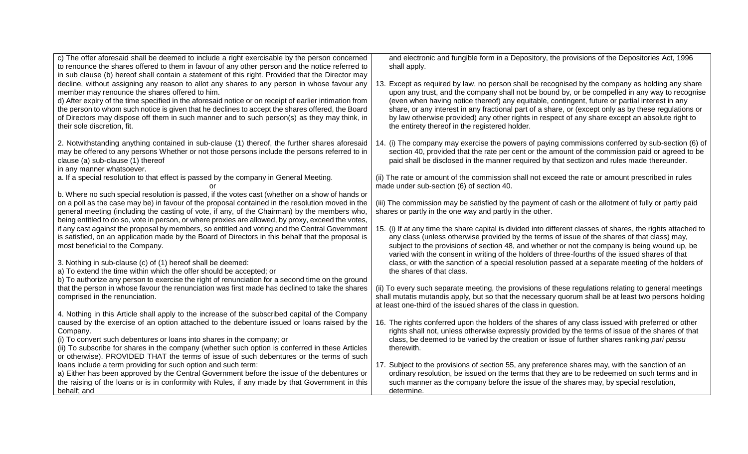| c) The offer aforesaid shall be deemed to include a right exercisable by the person concerned<br>to renounce the shares offered to them in favour of any other person and the notice referred to<br>in sub clause (b) hereof shall contain a statement of this right. Provided that the Director may<br>decline, without assigning any reason to allot any shares to any person in whose favour any<br>member may renounce the shares offered to him.<br>d) After expiry of the time specified in the aforesaid notice or on receipt of earlier intimation from<br>the person to whom such notice is given that he declines to accept the shares offered, the Board<br>of Directors may dispose off them in such manner and to such person(s) as they may think, in<br>their sole discretion, fit.                                                                                             | and electronic and fungible form in a Depository, the provisions of the Depositories Act, 1996<br>shall apply.<br>13. Except as required by law, no person shall be recognised by the company as holding any share<br>upon any trust, and the company shall not be bound by, or be compelled in any way to recognise<br>(even when having notice thereof) any equitable, contingent, future or partial interest in any<br>share, or any interest in any fractional part of a share, or (except only as by these regulations or<br>by law otherwise provided) any other rights in respect of any share except an absolute right to<br>the entirety thereof in the registered holder.                                      |
|------------------------------------------------------------------------------------------------------------------------------------------------------------------------------------------------------------------------------------------------------------------------------------------------------------------------------------------------------------------------------------------------------------------------------------------------------------------------------------------------------------------------------------------------------------------------------------------------------------------------------------------------------------------------------------------------------------------------------------------------------------------------------------------------------------------------------------------------------------------------------------------------|--------------------------------------------------------------------------------------------------------------------------------------------------------------------------------------------------------------------------------------------------------------------------------------------------------------------------------------------------------------------------------------------------------------------------------------------------------------------------------------------------------------------------------------------------------------------------------------------------------------------------------------------------------------------------------------------------------------------------|
| 2. Notwithstanding anything contained in sub-clause (1) thereof, the further shares aforesaid<br>may be offered to any persons Whether or not those persons include the persons referred to in<br>clause (a) sub-clause (1) thereof<br>in any manner whatsoever.                                                                                                                                                                                                                                                                                                                                                                                                                                                                                                                                                                                                                               | 14. (i) The company may exercise the powers of paying commissions conferred by sub-section (6) of<br>section 40, provided that the rate per cent or the amount of the commission paid or agreed to be<br>paid shall be disclosed in the manner required by that sectizon and rules made thereunder.                                                                                                                                                                                                                                                                                                                                                                                                                      |
| a. If a special resolution to that effect is passed by the company in General Meeting.                                                                                                                                                                                                                                                                                                                                                                                                                                                                                                                                                                                                                                                                                                                                                                                                         | (ii) The rate or amount of the commission shall not exceed the rate or amount prescribed in rules<br>made under sub-section (6) of section 40.                                                                                                                                                                                                                                                                                                                                                                                                                                                                                                                                                                           |
| b. Where no such special resolution is passed, if the votes cast (whether on a show of hands or<br>on a poll as the case may be) in favour of the proposal contained in the resolution moved in the<br>general meeting (including the casting of vote, if any, of the Chairman) by the members who,<br>being entitled to do so, vote in person, or where proxies are allowed, by proxy, exceed the votes,<br>if any cast against the proposal by members, so entitled and voting and the Central Government<br>is satisfied, on an application made by the Board of Directors in this behalf that the proposal is<br>most beneficial to the Company.<br>3. Nothing in sub-clause (c) of (1) hereof shall be deemed:<br>a) To extend the time within which the offer should be accepted; or<br>b) To authorize any person to exercise the right of renunciation for a second time on the ground | (iii) The commission may be satisfied by the payment of cash or the allotment of fully or partly paid<br>shares or partly in the one way and partly in the other.<br>15. (i) If at any time the share capital is divided into different classes of shares, the rights attached to<br>any class (unless otherwise provided by the terms of issue of the shares of that class) may,<br>subject to the provisions of section 48, and whether or not the company is being wound up, be<br>varied with the consent in writing of the holders of three-fourths of the issued shares of that<br>class, or with the sanction of a special resolution passed at a separate meeting of the holders of<br>the shares of that class. |
| that the person in whose favour the renunciation was first made has declined to take the shares<br>comprised in the renunciation.                                                                                                                                                                                                                                                                                                                                                                                                                                                                                                                                                                                                                                                                                                                                                              | (ii) To every such separate meeting, the provisions of these regulations relating to general meetings<br>shall mutatis mutandis apply, but so that the necessary quorum shall be at least two persons holding<br>at least one-third of the issued shares of the class in question.                                                                                                                                                                                                                                                                                                                                                                                                                                       |
| 4. Nothing in this Article shall apply to the increase of the subscribed capital of the Company<br>caused by the exercise of an option attached to the debenture issued or loans raised by the<br>Company.<br>(i) To convert such debentures or loans into shares in the company; or<br>(ii) To subscribe for shares in the company (whether such option is conferred in these Articles<br>or otherwise). PROVIDED THAT the terms of issue of such debentures or the terms of such                                                                                                                                                                                                                                                                                                                                                                                                             | 16. The rights conferred upon the holders of the shares of any class issued with preferred or other<br>rights shall not, unless otherwise expressly provided by the terms of issue of the shares of that<br>class, be deemed to be varied by the creation or issue of further shares ranking pari passu<br>therewith.                                                                                                                                                                                                                                                                                                                                                                                                    |
| loans include a term providing for such option and such term:<br>a) Either has been approved by the Central Government before the issue of the debentures or<br>the raising of the loans or is in conformity with Rules, if any made by that Government in this<br>behalf; and                                                                                                                                                                                                                                                                                                                                                                                                                                                                                                                                                                                                                 | 17. Subject to the provisions of section 55, any preference shares may, with the sanction of an<br>ordinary resolution, be issued on the terms that they are to be redeemed on such terms and in<br>such manner as the company before the issue of the shares may, by special resolution,<br>determine.                                                                                                                                                                                                                                                                                                                                                                                                                  |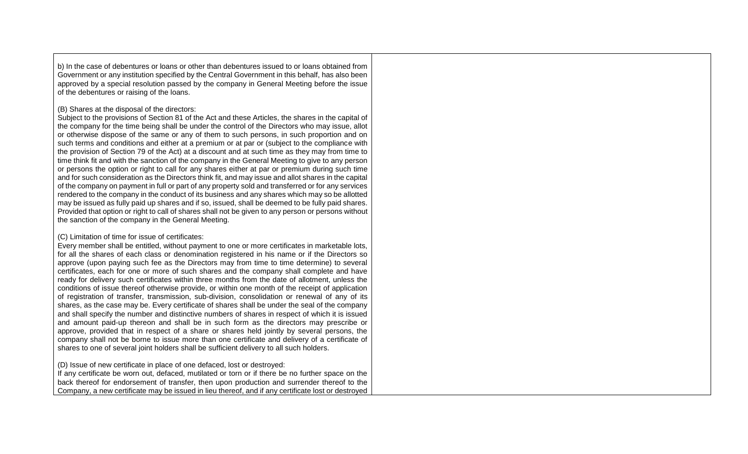b) In the case of debentures or loans or other than debentures issued to or loans obtained from Government or any institution specified by the Central Government in this behalf, has also been approved by a special resolution passed by the company in General Meeting before the issue of the debentures or raising of the loans.

## (B) Shares at the disposal of the directors:

Subject to the provisions of Section 81 of the Act and these Articles, the shares in the capital of the company for the time being shall be under the control of the Directors who may issue, allot or otherwise dispose of the same or any of them to such persons, in such proportion and on such terms and conditions and either at a premium or at par or (subject to the compliance with the provision of Section 79 of the Act) at a discount and at such time as they may from time to time think fit and with the sanction of the company in the General Meeting to give to any person or persons the option or right to call for any shares either at par or premium during such time and for such consideration as the Directors think fit, and may issue and allot shares in the capital of the company on payment in full or part of any property sold and transferred or for any services rendered to the company in the conduct of its business and any shares which may so be allotted may be issued as fully paid up shares and if so, issued, shall be deemed to be fully paid shares. Provided that option or right to call of shares shall not be given to any person or persons without the sanction of the company in the General Meeting.

## (C) Limitation of time for issue of certificates:

Every member shall be entitled, without payment to one or more certificates in marketable lots, for all the shares of each class or denomination registered in his name or if the Directors so approve (upon paying such fee as the Directors may from time to time determine) to several certificates, each for one or more of such shares and the company shall complete and have ready for delivery such certificates within three months from the date of allotment, unless the conditions of issue thereof otherwise provide, or within one month of the receipt of application of registration of transfer, transmission, sub-division, consolidation or renewal of any of its shares, as the case may be. Every certificate of shares shall be under the seal of the company and shall specify the number and distinctive numbers of shares in respect of which it is issued and amount paid-up thereon and shall be in such form as the directors may prescribe or approve, provided that in respect of a share or shares held jointly by several persons, the company shall not be borne to issue more than one certificate and delivery of a certificate of shares to one of several joint holders shall be sufficient delivery to all such holders.

(D) Issue of new certificate in place of one defaced, lost or destroyed:

If any certificate be worn out, defaced, mutilated or torn or if there be no further space on the back thereof for endorsement of transfer, then upon production and surrender thereof to the Company, a new certificate may be issued in lieu thereof, and if any certificate lost or destroyed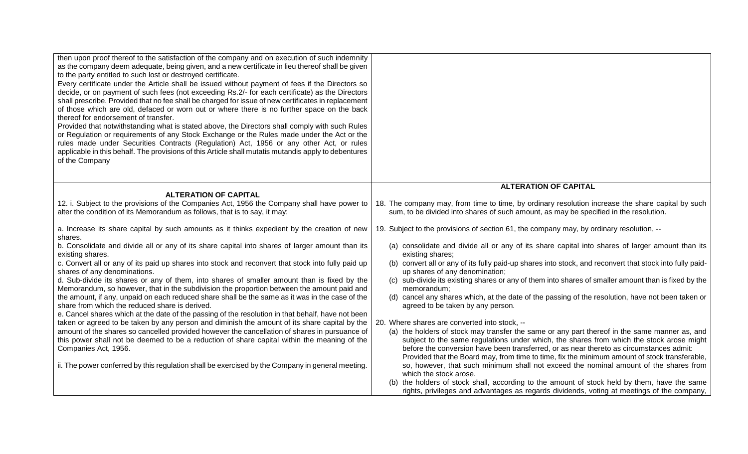| then upon proof thereof to the satisfaction of the company and on execution of such indemnity<br>as the company deem adequate, being given, and a new certificate in lieu thereof shall be given<br>to the party entitled to such lost or destroyed certificate.<br>Every certificate under the Article shall be issued without payment of fees if the Directors so<br>decide, or on payment of such fees (not exceeding Rs.2/- for each certificate) as the Directors<br>shall prescribe. Provided that no fee shall be charged for issue of new certificates in replacement<br>of those which are old, defaced or worn out or where there is no further space on the back<br>thereof for endorsement of transfer.<br>Provided that notwithstanding what is stated above, the Directors shall comply with such Rules<br>or Regulation or requirements of any Stock Exchange or the Rules made under the Act or the<br>rules made under Securities Contracts (Regulation) Act, 1956 or any other Act, or rules<br>applicable in this behalf. The provisions of this Article shall mutatis mutandis apply to debentures<br>of the Company |                                                                                                                                                                                                                                                                                                                                                                                       |
|------------------------------------------------------------------------------------------------------------------------------------------------------------------------------------------------------------------------------------------------------------------------------------------------------------------------------------------------------------------------------------------------------------------------------------------------------------------------------------------------------------------------------------------------------------------------------------------------------------------------------------------------------------------------------------------------------------------------------------------------------------------------------------------------------------------------------------------------------------------------------------------------------------------------------------------------------------------------------------------------------------------------------------------------------------------------------------------------------------------------------------------|---------------------------------------------------------------------------------------------------------------------------------------------------------------------------------------------------------------------------------------------------------------------------------------------------------------------------------------------------------------------------------------|
|                                                                                                                                                                                                                                                                                                                                                                                                                                                                                                                                                                                                                                                                                                                                                                                                                                                                                                                                                                                                                                                                                                                                          | <b>ALTERATION OF CAPITAL</b>                                                                                                                                                                                                                                                                                                                                                          |
| <b>ALTERATION OF CAPITAL</b><br>12. i. Subject to the provisions of the Companies Act, 1956 the Company shall have power to<br>alter the condition of its Memorandum as follows, that is to say, it may:                                                                                                                                                                                                                                                                                                                                                                                                                                                                                                                                                                                                                                                                                                                                                                                                                                                                                                                                 | 18. The company may, from time to time, by ordinary resolution increase the share capital by such<br>sum, to be divided into shares of such amount, as may be specified in the resolution.                                                                                                                                                                                            |
| a. Increase its share capital by such amounts as it thinks expedient by the creation of new<br>shares.                                                                                                                                                                                                                                                                                                                                                                                                                                                                                                                                                                                                                                                                                                                                                                                                                                                                                                                                                                                                                                   | 19. Subject to the provisions of section 61, the company may, by ordinary resolution, --                                                                                                                                                                                                                                                                                              |
| b. Consolidate and divide all or any of its share capital into shares of larger amount than its<br>existing shares.                                                                                                                                                                                                                                                                                                                                                                                                                                                                                                                                                                                                                                                                                                                                                                                                                                                                                                                                                                                                                      | (a) consolidate and divide all or any of its share capital into shares of larger amount than its<br>existing shares;                                                                                                                                                                                                                                                                  |
| c. Convert all or any of its paid up shares into stock and reconvert that stock into fully paid up<br>shares of any denominations.                                                                                                                                                                                                                                                                                                                                                                                                                                                                                                                                                                                                                                                                                                                                                                                                                                                                                                                                                                                                       | (b) convert all or any of its fully paid-up shares into stock, and reconvert that stock into fully paid-<br>up shares of any denomination;                                                                                                                                                                                                                                            |
| d. Sub-divide its shares or any of them, into shares of smaller amount than is fixed by the<br>Memorandum, so however, that in the subdivision the proportion between the amount paid and                                                                                                                                                                                                                                                                                                                                                                                                                                                                                                                                                                                                                                                                                                                                                                                                                                                                                                                                                | (c) sub-divide its existing shares or any of them into shares of smaller amount than is fixed by the<br>memorandum;                                                                                                                                                                                                                                                                   |
| the amount, if any, unpaid on each reduced share shall be the same as it was in the case of the<br>share from which the reduced share is derived.<br>e. Cancel shares which at the date of the passing of the resolution in that behalf, have not been                                                                                                                                                                                                                                                                                                                                                                                                                                                                                                                                                                                                                                                                                                                                                                                                                                                                                   | (d) cancel any shares which, at the date of the passing of the resolution, have not been taken or<br>agreed to be taken by any person.                                                                                                                                                                                                                                                |
| taken or agreed to be taken by any person and diminish the amount of its share capital by the                                                                                                                                                                                                                                                                                                                                                                                                                                                                                                                                                                                                                                                                                                                                                                                                                                                                                                                                                                                                                                            | 20. Where shares are converted into stock, --                                                                                                                                                                                                                                                                                                                                         |
| amount of the shares so cancelled provided however the cancellation of shares in pursuance of<br>this power shall not be deemed to be a reduction of share capital within the meaning of the<br>Companies Act, 1956.                                                                                                                                                                                                                                                                                                                                                                                                                                                                                                                                                                                                                                                                                                                                                                                                                                                                                                                     | (a) the holders of stock may transfer the same or any part thereof in the same manner as, and<br>subject to the same regulations under which, the shares from which the stock arose might<br>before the conversion have been transferred, or as near thereto as circumstances admit:<br>Provided that the Board may, from time to time, fix the minimum amount of stock transferable, |
| ii. The power conferred by this regulation shall be exercised by the Company in general meeting.                                                                                                                                                                                                                                                                                                                                                                                                                                                                                                                                                                                                                                                                                                                                                                                                                                                                                                                                                                                                                                         | so, however, that such minimum shall not exceed the nominal amount of the shares from<br>which the stock arose.                                                                                                                                                                                                                                                                       |
|                                                                                                                                                                                                                                                                                                                                                                                                                                                                                                                                                                                                                                                                                                                                                                                                                                                                                                                                                                                                                                                                                                                                          | (b) the holders of stock shall, according to the amount of stock held by them, have the same<br>rights, privileges and advantages as regards dividends, voting at meetings of the company,                                                                                                                                                                                            |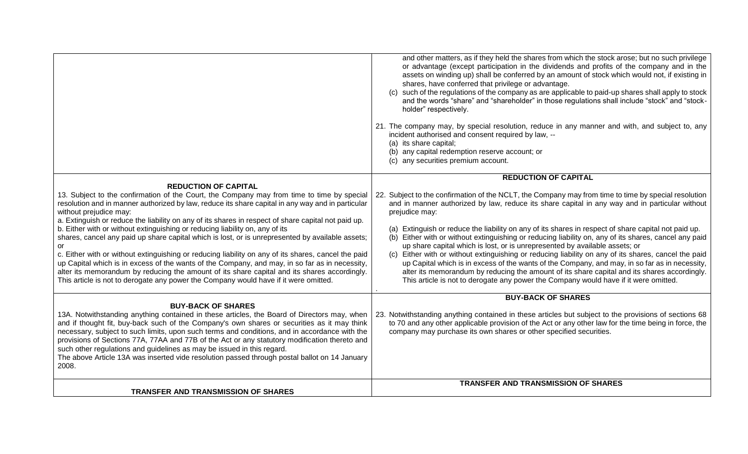|                                                                                                                                                                                                                                                                                                                                                                                                                                                                                                                                                                                                               | and other matters, as if they held the shares from which the stock arose; but no such privilege<br>or advantage (except participation in the dividends and profits of the company and in the<br>assets on winding up) shall be conferred by an amount of stock which would not, if existing in<br>shares, have conferred that privilege or advantage.<br>(c) such of the regulations of the company as are applicable to paid-up shares shall apply to stock<br>and the words "share" and "shareholder" in those regulations shall include "stock" and "stock-<br>holder" respectively.<br>21. The company may, by special resolution, reduce in any manner and with, and subject to, any<br>incident authorised and consent required by law, --<br>(a) its share capital;<br>(b) any capital redemption reserve account; or<br>(c) any securities premium account. |
|---------------------------------------------------------------------------------------------------------------------------------------------------------------------------------------------------------------------------------------------------------------------------------------------------------------------------------------------------------------------------------------------------------------------------------------------------------------------------------------------------------------------------------------------------------------------------------------------------------------|---------------------------------------------------------------------------------------------------------------------------------------------------------------------------------------------------------------------------------------------------------------------------------------------------------------------------------------------------------------------------------------------------------------------------------------------------------------------------------------------------------------------------------------------------------------------------------------------------------------------------------------------------------------------------------------------------------------------------------------------------------------------------------------------------------------------------------------------------------------------|
|                                                                                                                                                                                                                                                                                                                                                                                                                                                                                                                                                                                                               | <b>REDUCTION OF CAPITAL</b>                                                                                                                                                                                                                                                                                                                                                                                                                                                                                                                                                                                                                                                                                                                                                                                                                                         |
| <b>REDUCTION OF CAPITAL</b>                                                                                                                                                                                                                                                                                                                                                                                                                                                                                                                                                                                   |                                                                                                                                                                                                                                                                                                                                                                                                                                                                                                                                                                                                                                                                                                                                                                                                                                                                     |
| 13. Subject to the confirmation of the Court, the Company may from time to time by special<br>resolution and in manner authorized by law, reduce its share capital in any way and in particular<br>without prejudice may:<br>a. Extinguish or reduce the liability on any of its shares in respect of share capital not paid up.                                                                                                                                                                                                                                                                              | 22. Subject to the confirmation of the NCLT, the Company may from time to time by special resolution<br>and in manner authorized by law, reduce its share capital in any way and in particular without<br>prejudice may:                                                                                                                                                                                                                                                                                                                                                                                                                                                                                                                                                                                                                                            |
| b. Either with or without extinguishing or reducing liability on, any of its<br>shares, cancel any paid up share capital which is lost, or is unrepresented by available assets;<br>or<br>c. Either with or without extinguishing or reducing liability on any of its shares, cancel the paid<br>up Capital which is in excess of the wants of the Company, and may, in so far as in necessity,<br>alter its memorandum by reducing the amount of its share capital and its shares accordingly.<br>This article is not to derogate any power the Company would have if it were omitted.                       | (a) Extinguish or reduce the liability on any of its shares in respect of share capital not paid up.<br>Either with or without extinguishing or reducing liability on, any of its shares, cancel any paid<br>(b)<br>up share capital which is lost, or is unrepresented by available assets; or<br>Either with or without extinguishing or reducing liability on any of its shares, cancel the paid<br>(c)<br>up Capital which is in excess of the wants of the Company, and may, in so far as in necessity,<br>alter its memorandum by reducing the amount of its share capital and its shares accordingly.<br>This article is not to derogate any power the Company would have if it were omitted.                                                                                                                                                                |
|                                                                                                                                                                                                                                                                                                                                                                                                                                                                                                                                                                                                               | <b>BUY-BACK OF SHARES</b>                                                                                                                                                                                                                                                                                                                                                                                                                                                                                                                                                                                                                                                                                                                                                                                                                                           |
| <b>BUY-BACK OF SHARES</b><br>13A. Notwithstanding anything contained in these articles, the Board of Directors may, when<br>and if thought fit, buy-back such of the Company's own shares or securities as it may think<br>necessary, subject to such limits, upon such terms and conditions, and in accordance with the<br>provisions of Sections 77A, 77AA and 77B of the Act or any statutory modification thereto and<br>such other regulations and guidelines as may be issued in this regard.<br>The above Article 13A was inserted vide resolution passed through postal ballot on 14 January<br>2008. | 23. Notwithstanding anything contained in these articles but subject to the provisions of sections 68<br>to 70 and any other applicable provision of the Act or any other law for the time being in force, the<br>company may purchase its own shares or other specified securities.                                                                                                                                                                                                                                                                                                                                                                                                                                                                                                                                                                                |
|                                                                                                                                                                                                                                                                                                                                                                                                                                                                                                                                                                                                               | <b>TRANSFER AND TRANSMISSION OF SHARES</b>                                                                                                                                                                                                                                                                                                                                                                                                                                                                                                                                                                                                                                                                                                                                                                                                                          |
| <b>TRANSFER AND TRANSMISSION OF SHARES</b>                                                                                                                                                                                                                                                                                                                                                                                                                                                                                                                                                                    |                                                                                                                                                                                                                                                                                                                                                                                                                                                                                                                                                                                                                                                                                                                                                                                                                                                                     |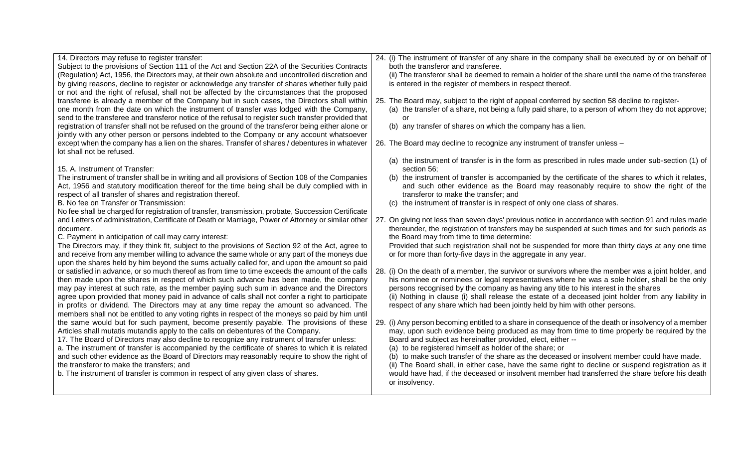| 14. Directors may refuse to register transfer:                                                      | 24. (i) The instrument of transfer of any share in the company shall be executed by or on behalf of   |
|-----------------------------------------------------------------------------------------------------|-------------------------------------------------------------------------------------------------------|
| Subject to the provisions of Section 111 of the Act and Section 22A of the Securities Contracts     | both the transferor and transferee.                                                                   |
| (Regulation) Act, 1956, the Directors may, at their own absolute and uncontrolled discretion and    | (ii) The transferor shall be deemed to remain a holder of the share until the name of the transferee  |
| by giving reasons, decline to register or acknowledge any transfer of shares whether fully paid     | is entered in the register of members in respect thereof.                                             |
| or not and the right of refusal, shall not be affected by the circumstances that the proposed       |                                                                                                       |
| transferee is already a member of the Company but in such cases, the Directors shall within         | 25. The Board may, subject to the right of appeal conferred by section 58 decline to register-        |
| one month from the date on which the instrument of transfer was lodged with the Company,            | (a) the transfer of a share, not being a fully paid share, to a person of whom they do not approve;   |
| send to the transferee and transferor notice of the refusal to register such transfer provided that | or                                                                                                    |
| registration of transfer shall not be refused on the ground of the transferor being either alone or | (b) any transfer of shares on which the company has a lien.                                           |
| jointly with any other person or persons indebted to the Company or any account whatsoever          |                                                                                                       |
| except when the company has a lien on the shares. Transfer of shares / debentures in whatever       | 26. The Board may decline to recognize any instrument of transfer unless -                            |
| lot shall not be refused.                                                                           |                                                                                                       |
|                                                                                                     | (a) the instrument of transfer is in the form as prescribed in rules made under sub-section (1) of    |
| 15. A. Instrument of Transfer:                                                                      | section 56;                                                                                           |
| The instrument of transfer shall be in writing and all provisions of Section 108 of the Companies   | (b) the instrument of transfer is accompanied by the certificate of the shares to which it relates,   |
| Act, 1956 and statutory modification thereof for the time being shall be duly complied with in      | and such other evidence as the Board may reasonably require to show the right of the                  |
| respect of all transfer of shares and registration thereof.                                         | transferor to make the transfer; and                                                                  |
| B. No fee on Transfer or Transmission:                                                              | (c) the instrument of transfer is in respect of only one class of shares.                             |
| No fee shall be charged for registration of transfer, transmission, probate, Succession Certificate |                                                                                                       |
| and Letters of administration, Certificate of Death or Marriage, Power of Attorney or similar other | 27. On giving not less than seven days' previous notice in accordance with section 91 and rules made  |
| document.                                                                                           | thereunder, the registration of transfers may be suspended at such times and for such periods as      |
| C. Payment in anticipation of call may carry interest:                                              | the Board may from time to time determine:                                                            |
| The Directors may, if they think fit, subject to the provisions of Section 92 of the Act, agree to  | Provided that such registration shall not be suspended for more than thirty days at any one time      |
| and receive from any member willing to advance the same whole or any part of the moneys due         | or for more than forty-five days in the aggregate in any year.                                        |
| upon the shares held by him beyond the sums actually called for, and upon the amount so paid        |                                                                                                       |
| or satisfied in advance, or so much thereof as from time to time exceeds the amount of the calls    | 28. (i) On the death of a member, the survivor or survivors where the member was a joint holder, and  |
| then made upon the shares in respect of which such advance has been made, the company               | his nominee or nominees or legal representatives where he was a sole holder, shall be the only        |
| may pay interest at such rate, as the member paying such sum in advance and the Directors           | persons recognised by the company as having any title to his interest in the shares                   |
| agree upon provided that money paid in advance of calls shall not confer a right to participate     | (ii) Nothing in clause (i) shall release the estate of a deceased joint holder from any liability in  |
| in profits or dividend. The Directors may at any time repay the amount so advanced. The             | respect of any share which had been jointly held by him with other persons.                           |
| members shall not be entitled to any voting rights in respect of the moneys so paid by him until    |                                                                                                       |
| the same would but for such payment, become presently payable. The provisions of these              | 29. (i) Any person becoming entitled to a share in consequence of the death or insolvency of a member |
| Articles shall mutatis mutandis apply to the calls on debentures of the Company.                    | may, upon such evidence being produced as may from time to time properly be required by the           |
| 17. The Board of Directors may also decline to recognize any instrument of transfer unless:         | Board and subject as hereinafter provided, elect, either --                                           |
| a. The instrument of transfer is accompanied by the certificate of shares to which it is related    | (a) to be registered himself as holder of the share; or                                               |
| and such other evidence as the Board of Directors may reasonably require to show the right of       | (b) to make such transfer of the share as the deceased or insolvent member could have made.           |
| the transferor to make the transfers; and                                                           | (ii) The Board shall, in either case, have the same right to decline or suspend registration as it    |
| b. The instrument of transfer is common in respect of any given class of shares.                    | would have had, if the deceased or insolvent member had transferred the share before his death        |
|                                                                                                     | or insolvency.                                                                                        |
|                                                                                                     |                                                                                                       |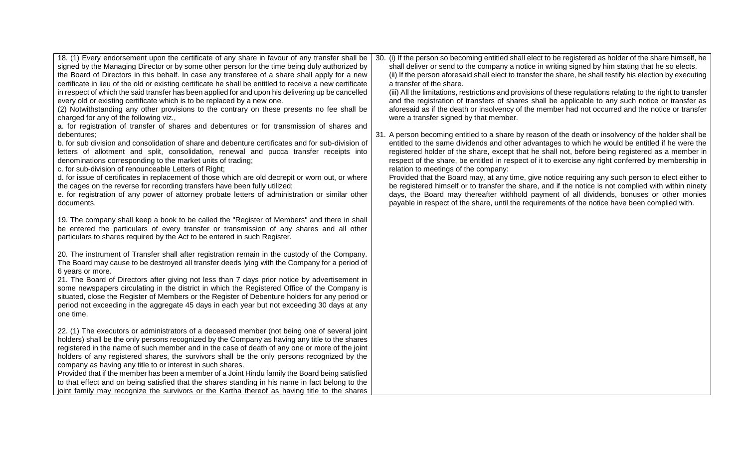| 18. (1) Every endorsement upon the certificate of any share in favour of any transfer shall be<br>signed by the Managing Director or by some other person for the time being duly authorized by<br>the Board of Directors in this behalf. In case any transferee of a share shall apply for a new<br>certificate in lieu of the old or existing certificate he shall be entitled to receive a new certificate<br>in respect of which the said transfer has been applied for and upon his delivering up be cancelled<br>every old or existing certificate which is to be replaced by a new one.<br>(2) Notwithstanding any other provisions to the contrary on these presents no fee shall be<br>charged for any of the following viz.,<br>a. for registration of transfer of shares and debentures or for transmission of shares and<br>debentures;<br>b. for sub division and consolidation of share and debenture certificates and for sub-division of<br>letters of allotment and split, consolidation, renewal and pucca transfer receipts into<br>denominations corresponding to the market units of trading;<br>c. for sub-division of renounceable Letters of Right;<br>d. for issue of certificates in replacement of those which are old decrepit or worn out, or where<br>the cages on the reverse for recording transfers have been fully utilized;<br>e. for registration of any power of attorney probate letters of administration or similar other<br>documents. | 30. (i) If the person so becoming entitled shall elect to be registered as holder of the share himself, he<br>shall deliver or send to the company a notice in writing signed by him stating that he so elects.<br>(ii) If the person aforesaid shall elect to transfer the share, he shall testify his election by executing<br>a transfer of the share.<br>(iii) All the limitations, restrictions and provisions of these regulations relating to the right to transfer<br>and the registration of transfers of shares shall be applicable to any such notice or transfer as<br>aforesaid as if the death or insolvency of the member had not occurred and the notice or transfer<br>were a transfer signed by that member.<br>31. A person becoming entitled to a share by reason of the death or insolvency of the holder shall be<br>entitled to the same dividends and other advantages to which he would be entitled if he were the<br>registered holder of the share, except that he shall not, before being registered as a member in<br>respect of the share, be entitled in respect of it to exercise any right conferred by membership in<br>relation to meetings of the company:<br>Provided that the Board may, at any time, give notice requiring any such person to elect either to<br>be registered himself or to transfer the share, and if the notice is not complied with within ninety<br>days, the Board may thereafter withhold payment of all dividends, bonuses or other monies<br>payable in respect of the share, until the requirements of the notice have been complied with. |
|---------------------------------------------------------------------------------------------------------------------------------------------------------------------------------------------------------------------------------------------------------------------------------------------------------------------------------------------------------------------------------------------------------------------------------------------------------------------------------------------------------------------------------------------------------------------------------------------------------------------------------------------------------------------------------------------------------------------------------------------------------------------------------------------------------------------------------------------------------------------------------------------------------------------------------------------------------------------------------------------------------------------------------------------------------------------------------------------------------------------------------------------------------------------------------------------------------------------------------------------------------------------------------------------------------------------------------------------------------------------------------------------------------------------------------------------------------------------------------|-------------------------------------------------------------------------------------------------------------------------------------------------------------------------------------------------------------------------------------------------------------------------------------------------------------------------------------------------------------------------------------------------------------------------------------------------------------------------------------------------------------------------------------------------------------------------------------------------------------------------------------------------------------------------------------------------------------------------------------------------------------------------------------------------------------------------------------------------------------------------------------------------------------------------------------------------------------------------------------------------------------------------------------------------------------------------------------------------------------------------------------------------------------------------------------------------------------------------------------------------------------------------------------------------------------------------------------------------------------------------------------------------------------------------------------------------------------------------------------------------------------------------------------------------------------------------------------------------------------|
| 19. The company shall keep a book to be called the "Register of Members" and there in shall<br>be entered the particulars of every transfer or transmission of any shares and all other<br>particulars to shares required by the Act to be entered in such Register.                                                                                                                                                                                                                                                                                                                                                                                                                                                                                                                                                                                                                                                                                                                                                                                                                                                                                                                                                                                                                                                                                                                                                                                                            |                                                                                                                                                                                                                                                                                                                                                                                                                                                                                                                                                                                                                                                                                                                                                                                                                                                                                                                                                                                                                                                                                                                                                                                                                                                                                                                                                                                                                                                                                                                                                                                                             |
| 20. The instrument of Transfer shall after registration remain in the custody of the Company.<br>The Board may cause to be destroyed all transfer deeds lying with the Company for a period of<br>6 years or more.<br>21. The Board of Directors after giving not less than 7 days prior notice by advertisement in<br>some newspapers circulating in the district in which the Registered Office of the Company is<br>situated, close the Register of Members or the Register of Debenture holders for any period or<br>period not exceeding in the aggregate 45 days in each year but not exceeding 30 days at any<br>one time.                                                                                                                                                                                                                                                                                                                                                                                                                                                                                                                                                                                                                                                                                                                                                                                                                                               |                                                                                                                                                                                                                                                                                                                                                                                                                                                                                                                                                                                                                                                                                                                                                                                                                                                                                                                                                                                                                                                                                                                                                                                                                                                                                                                                                                                                                                                                                                                                                                                                             |
| 22. (1) The executors or administrators of a deceased member (not being one of several joint<br>holders) shall be the only persons recognized by the Company as having any title to the shares<br>registered in the name of such member and in the case of death of any one or more of the joint<br>holders of any registered shares, the survivors shall be the only persons recognized by the<br>company as having any title to or interest in such shares.<br>Provided that if the member has been a member of a Joint Hindu family the Board being satisfied<br>to that effect and on being satisfied that the shares standing in his name in fact belong to the<br>joint family may recognize the survivors or the Kartha thereof as having title to the shares                                                                                                                                                                                                                                                                                                                                                                                                                                                                                                                                                                                                                                                                                                            |                                                                                                                                                                                                                                                                                                                                                                                                                                                                                                                                                                                                                                                                                                                                                                                                                                                                                                                                                                                                                                                                                                                                                                                                                                                                                                                                                                                                                                                                                                                                                                                                             |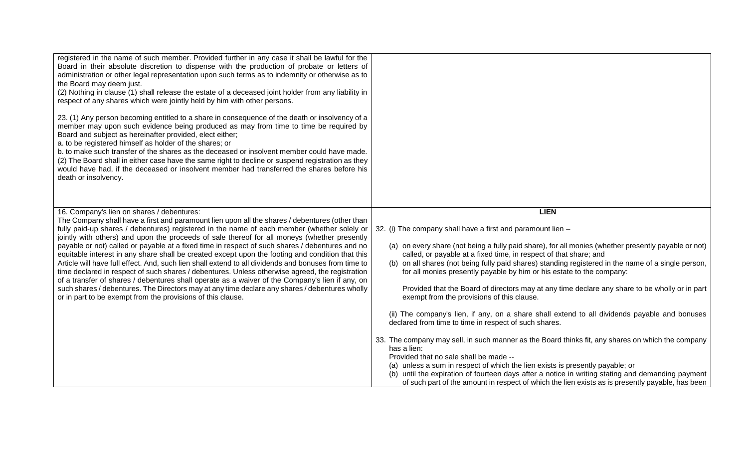| registered in the name of such member. Provided further in any case it shall be lawful for the<br>Board in their absolute discretion to dispense with the production of probate or letters of<br>administration or other legal representation upon such terms as to indemnity or otherwise as to<br>the Board may deem just.<br>(2) Nothing in clause (1) shall release the estate of a deceased joint holder from any liability in<br>respect of any shares which were jointly held by him with other persons.<br>23. (1) Any person becoming entitled to a share in consequence of the death or insolvency of a<br>member may upon such evidence being produced as may from time to time be required by<br>Board and subject as hereinafter provided, elect either;<br>a. to be registered himself as holder of the shares; or<br>b. to make such transfer of the shares as the deceased or insolvent member could have made.<br>(2) The Board shall in either case have the same right to decline or suspend registration as they<br>would have had, if the deceased or insolvent member had transferred the shares before his<br>death or insolvency. |                                                                                                                                                                                                                                                                                                                                                                                                                                                                                                                                                                                                                                                                                                                                                                                                                                                                                                                                                                                                                                                                                                                                                                                                           |
|-----------------------------------------------------------------------------------------------------------------------------------------------------------------------------------------------------------------------------------------------------------------------------------------------------------------------------------------------------------------------------------------------------------------------------------------------------------------------------------------------------------------------------------------------------------------------------------------------------------------------------------------------------------------------------------------------------------------------------------------------------------------------------------------------------------------------------------------------------------------------------------------------------------------------------------------------------------------------------------------------------------------------------------------------------------------------------------------------------------------------------------------------------------|-----------------------------------------------------------------------------------------------------------------------------------------------------------------------------------------------------------------------------------------------------------------------------------------------------------------------------------------------------------------------------------------------------------------------------------------------------------------------------------------------------------------------------------------------------------------------------------------------------------------------------------------------------------------------------------------------------------------------------------------------------------------------------------------------------------------------------------------------------------------------------------------------------------------------------------------------------------------------------------------------------------------------------------------------------------------------------------------------------------------------------------------------------------------------------------------------------------|
| 16. Company's lien on shares / debentures:<br>The Company shall have a first and paramount lien upon all the shares / debentures (other than<br>fully paid-up shares / debentures) registered in the name of each member (whether solely or<br>jointly with others) and upon the proceeds of sale thereof for all moneys (whether presently<br>payable or not) called or payable at a fixed time in respect of such shares / debentures and no<br>equitable interest in any share shall be created except upon the footing and condition that this<br>Article will have full effect. And, such lien shall extend to all dividends and bonuses from time to<br>time declared in respect of such shares / debentures. Unless otherwise agreed, the registration<br>of a transfer of shares / debentures shall operate as a waiver of the Company's lien if any, on<br>such shares / debentures. The Directors may at any time declare any shares / debentures wholly<br>or in part to be exempt from the provisions of this clause.                                                                                                                         | <b>LIEN</b><br>32. (i) The company shall have a first and paramount lien -<br>(a) on every share (not being a fully paid share), for all monies (whether presently payable or not)<br>called, or payable at a fixed time, in respect of that share; and<br>(b) on all shares (not being fully paid shares) standing registered in the name of a single person,<br>for all monies presently payable by him or his estate to the company:<br>Provided that the Board of directors may at any time declare any share to be wholly or in part<br>exempt from the provisions of this clause.<br>(ii) The company's lien, if any, on a share shall extend to all dividends payable and bonuses<br>declared from time to time in respect of such shares.<br>33. The company may sell, in such manner as the Board thinks fit, any shares on which the company<br>has a lien:<br>Provided that no sale shall be made --<br>(a) unless a sum in respect of which the lien exists is presently payable; or<br>(b) until the expiration of fourteen days after a notice in writing stating and demanding payment<br>of such part of the amount in respect of which the lien exists as is presently payable, has been |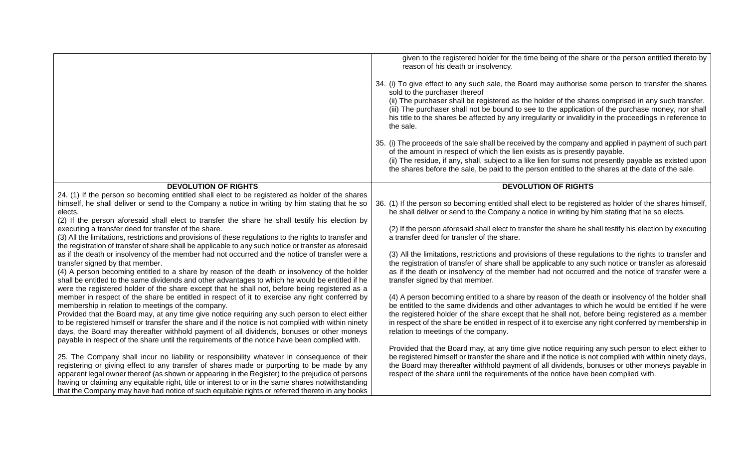|                                                                                                                                                                                                    | given to the registered holder for the time being of the share or the person entitled thereto by<br>reason of his death or insolvency.                                                                  |
|----------------------------------------------------------------------------------------------------------------------------------------------------------------------------------------------------|---------------------------------------------------------------------------------------------------------------------------------------------------------------------------------------------------------|
|                                                                                                                                                                                                    | 34. (i) To give effect to any such sale, the Board may authorise some person to transfer the shares<br>sold to the purchaser thereof                                                                    |
|                                                                                                                                                                                                    | (ii) The purchaser shall be registered as the holder of the shares comprised in any such transfer.<br>(iii) The purchaser shall not be bound to see to the application of the purchase money, nor shall |
|                                                                                                                                                                                                    | his title to the shares be affected by any irregularity or invalidity in the proceedings in reference to<br>the sale.                                                                                   |
|                                                                                                                                                                                                    | 35. (i) The proceeds of the sale shall be received by the company and applied in payment of such part                                                                                                   |
|                                                                                                                                                                                                    | of the amount in respect of which the lien exists as is presently payable.<br>(ii) The residue, if any, shall, subject to a like lien for sums not presently payable as existed upon                    |
|                                                                                                                                                                                                    | the shares before the sale, be paid to the person entitled to the shares at the date of the sale.                                                                                                       |
| <b>DEVOLUTION OF RIGHTS</b>                                                                                                                                                                        | <b>DEVOLUTION OF RIGHTS</b>                                                                                                                                                                             |
| 24. (1) If the person so becoming entitled shall elect to be registered as holder of the shares                                                                                                    |                                                                                                                                                                                                         |
| himself, he shall deliver or send to the Company a notice in writing by him stating that he so                                                                                                     | 36. (1) If the person so becoming entitled shall elect to be registered as holder of the shares himself,                                                                                                |
| elects.                                                                                                                                                                                            | he shall deliver or send to the Company a notice in writing by him stating that he so elects.                                                                                                           |
| (2) If the person aforesaid shall elect to transfer the share he shall testify his election by<br>executing a transfer deed for transfer of the share.                                             | (2) If the person aforesaid shall elect to transfer the share he shall testify his election by executing                                                                                                |
| (3) All the limitations, restrictions and provisions of these regulations to the rights to transfer and                                                                                            | a transfer deed for transfer of the share.                                                                                                                                                              |
| the registration of transfer of share shall be applicable to any such notice or transfer as aforesaid                                                                                              |                                                                                                                                                                                                         |
| as if the death or insolvency of the member had not occurred and the notice of transfer were a                                                                                                     | (3) All the limitations, restrictions and provisions of these regulations to the rights to transfer and                                                                                                 |
| transfer signed by that member.                                                                                                                                                                    | the registration of transfer of share shall be applicable to any such notice or transfer as aforesaid                                                                                                   |
| (4) A person becoming entitled to a share by reason of the death or insolvency of the holder                                                                                                       | as if the death or insolvency of the member had not occurred and the notice of transfer were a                                                                                                          |
| shall be entitled to the same dividends and other advantages to which he would be entitled if he<br>were the registered holder of the share except that he shall not, before being registered as a | transfer signed by that member.                                                                                                                                                                         |
| member in respect of the share be entitled in respect of it to exercise any right conferred by                                                                                                     | (4) A person becoming entitled to a share by reason of the death or insolvency of the holder shall                                                                                                      |
| membership in relation to meetings of the company.                                                                                                                                                 | be entitled to the same dividends and other advantages to which he would be entitled if he were                                                                                                         |
| Provided that the Board may, at any time give notice requiring any such person to elect either                                                                                                     | the registered holder of the share except that he shall not, before being registered as a member                                                                                                        |
| to be registered himself or transfer the share and if the notice is not complied with within ninety                                                                                                | in respect of the share be entitled in respect of it to exercise any right conferred by membership in                                                                                                   |
| days, the Board may thereafter withhold payment of all dividends, bonuses or other moneys                                                                                                          | relation to meetings of the company.                                                                                                                                                                    |
| payable in respect of the share until the requirements of the notice have been complied with.                                                                                                      | Provided that the Board may, at any time give notice requiring any such person to elect either to                                                                                                       |
| 25. The Company shall incur no liability or responsibility whatever in consequence of their                                                                                                        | be registered himself or transfer the share and if the notice is not complied with within ninety days,                                                                                                  |
| registering or giving effect to any transfer of shares made or purporting to be made by any                                                                                                        | the Board may thereafter withhold payment of all dividends, bonuses or other moneys payable in                                                                                                          |
| apparent legal owner thereof (as shown or appearing in the Register) to the prejudice of persons                                                                                                   | respect of the share until the requirements of the notice have been complied with.                                                                                                                      |
| having or claiming any equitable right, title or interest to or in the same shares notwithstanding                                                                                                 |                                                                                                                                                                                                         |
| that the Company may have had notice of such equitable rights or referred thereto in any books                                                                                                     |                                                                                                                                                                                                         |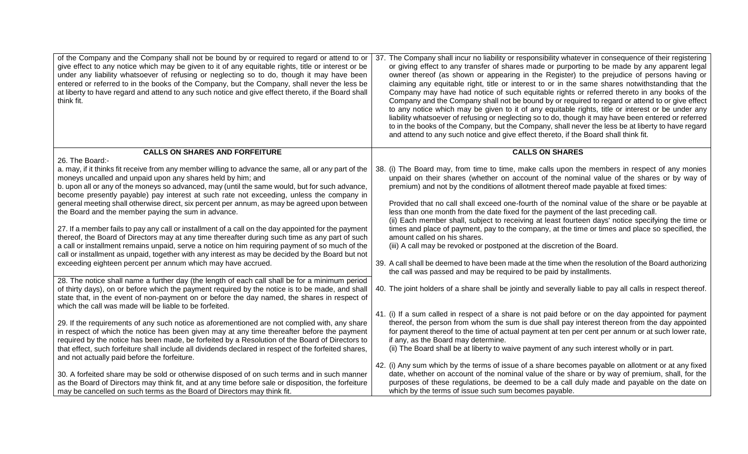| of the Company and the Company shall not be bound by or required to regard or attend to or<br>give effect to any notice which may be given to it of any equitable rights, title or interest or be<br>under any liability whatsoever of refusing or neglecting so to do, though it may have been<br>entered or referred to in the books of the Company, but the Company, shall never the less be<br>at liberty to have regard and attend to any such notice and give effect thereto, if the Board shall<br>think fit.                                                                                                                                                                                                                                                                                                                                                                                                                                                                                                         | 37. The Company shall incur no liability or responsibility whatever in consequence of their registering<br>or giving effect to any transfer of shares made or purporting to be made by any apparent legal<br>owner thereof (as shown or appearing in the Register) to the prejudice of persons having or<br>claiming any equitable right, title or interest to or in the same shares notwithstanding that the<br>Company may have had notice of such equitable rights or referred thereto in any books of the<br>Company and the Company shall not be bound by or required to regard or attend to or give effect<br>to any notice which may be given to it of any equitable rights, title or interest or be under any<br>liability whatsoever of refusing or neglecting so to do, though it may have been entered or referred<br>to in the books of the Company, but the Company, shall never the less be at liberty to have regard<br>and attend to any such notice and give effect thereto, if the Board shall think fit. |
|------------------------------------------------------------------------------------------------------------------------------------------------------------------------------------------------------------------------------------------------------------------------------------------------------------------------------------------------------------------------------------------------------------------------------------------------------------------------------------------------------------------------------------------------------------------------------------------------------------------------------------------------------------------------------------------------------------------------------------------------------------------------------------------------------------------------------------------------------------------------------------------------------------------------------------------------------------------------------------------------------------------------------|-----------------------------------------------------------------------------------------------------------------------------------------------------------------------------------------------------------------------------------------------------------------------------------------------------------------------------------------------------------------------------------------------------------------------------------------------------------------------------------------------------------------------------------------------------------------------------------------------------------------------------------------------------------------------------------------------------------------------------------------------------------------------------------------------------------------------------------------------------------------------------------------------------------------------------------------------------------------------------------------------------------------------------|
| <b>CALLS ON SHARES AND FORFEITURE</b>                                                                                                                                                                                                                                                                                                                                                                                                                                                                                                                                                                                                                                                                                                                                                                                                                                                                                                                                                                                        | <b>CALLS ON SHARES</b>                                                                                                                                                                                                                                                                                                                                                                                                                                                                                                                                                                                                                                                                                                                                                                                                                                                                                                                                                                                                      |
| 26. The Board:-<br>a. may, if it thinks fit receive from any member willing to advance the same, all or any part of the<br>moneys uncalled and unpaid upon any shares held by him; and<br>b. upon all or any of the moneys so advanced, may (until the same would, but for such advance,<br>become presently payable) pay interest at such rate not exceeding, unless the company in<br>general meeting shall otherwise direct, six percent per annum, as may be agreed upon between<br>the Board and the member paying the sum in advance.<br>27. If a member fails to pay any call or installment of a call on the day appointed for the payment<br>thereof, the Board of Directors may at any time thereafter during such time as any part of such<br>a call or installment remains unpaid, serve a notice on him requiring payment of so much of the<br>call or installment as unpaid, together with any interest as may be decided by the Board but not<br>exceeding eighteen percent per annum which may have accrued. | 38. (i) The Board may, from time to time, make calls upon the members in respect of any monies<br>unpaid on their shares (whether on account of the nominal value of the shares or by way of<br>premium) and not by the conditions of allotment thereof made payable at fixed times:<br>Provided that no call shall exceed one-fourth of the nominal value of the share or be payable at<br>less than one month from the date fixed for the payment of the last preceding call.<br>(ii) Each member shall, subject to receiving at least fourteen days' notice specifying the time or<br>times and place of payment, pay to the company, at the time or times and place so specified, the<br>amount called on his shares.<br>(iii) A call may be revoked or postponed at the discretion of the Board.<br>39. A call shall be deemed to have been made at the time when the resolution of the Board authorizing<br>the call was passed and may be required to be paid by installments.                                       |
| 28. The notice shall name a further day (the length of each call shall be for a minimum period<br>of thirty days), on or before which the payment required by the notice is to be made, and shall<br>state that, in the event of non-payment on or before the day named, the shares in respect of<br>which the call was made will be liable to be forfeited.                                                                                                                                                                                                                                                                                                                                                                                                                                                                                                                                                                                                                                                                 | 40. The joint holders of a share shall be jointly and severally liable to pay all calls in respect thereof.                                                                                                                                                                                                                                                                                                                                                                                                                                                                                                                                                                                                                                                                                                                                                                                                                                                                                                                 |
| 29. If the requirements of any such notice as aforementioned are not complied with, any share<br>in respect of which the notice has been given may at any time thereafter before the payment<br>required by the notice has been made, be forfeited by a Resolution of the Board of Directors to<br>that effect, such forfeiture shall include all dividends declared in respect of the forfeited shares,<br>and not actually paid before the forfeiture.                                                                                                                                                                                                                                                                                                                                                                                                                                                                                                                                                                     | 41. (i) If a sum called in respect of a share is not paid before or on the day appointed for payment<br>thereof, the person from whom the sum is due shall pay interest thereon from the day appointed<br>for payment thereof to the time of actual payment at ten per cent per annum or at such lower rate,<br>if any, as the Board may determine.<br>(ii) The Board shall be at liberty to waive payment of any such interest wholly or in part.                                                                                                                                                                                                                                                                                                                                                                                                                                                                                                                                                                          |
| 30. A forfeited share may be sold or otherwise disposed of on such terms and in such manner<br>as the Board of Directors may think fit, and at any time before sale or disposition, the forfeiture<br>may be cancelled on such terms as the Board of Directors may think fit.                                                                                                                                                                                                                                                                                                                                                                                                                                                                                                                                                                                                                                                                                                                                                | 42. (i) Any sum which by the terms of issue of a share becomes payable on allotment or at any fixed<br>date, whether on account of the nominal value of the share or by way of premium, shall, for the<br>purposes of these regulations, be deemed to be a call duly made and payable on the date on<br>which by the terms of issue such sum becomes payable.                                                                                                                                                                                                                                                                                                                                                                                                                                                                                                                                                                                                                                                               |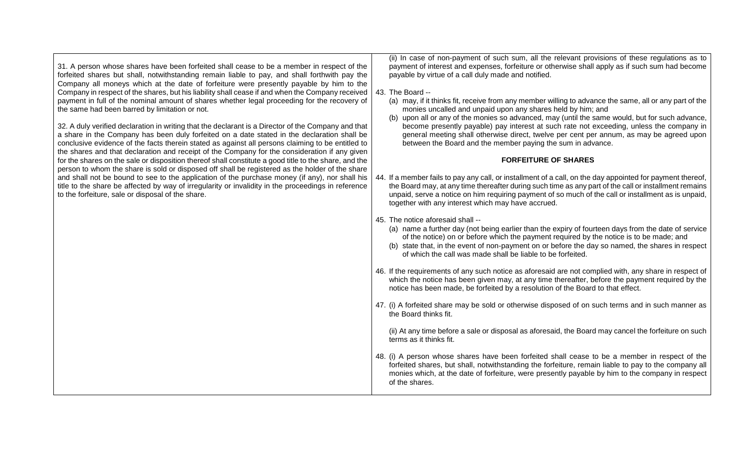| 31. A person whose shares have been forfeited shall cease to be a member in respect of the<br>forfeited shares but shall, notwithstanding remain liable to pay, and shall forthwith pay the<br>Company all moneys which at the date of forfeiture were presently payable by him to the<br>Company in respect of the shares, but his liability shall cease if and when the Company received<br>payment in full of the nominal amount of shares whether legal proceeding for the recovery of<br>the same had been barred by limitation or not.<br>32. A duly verified declaration in writing that the declarant is a Director of the Company and that<br>a share in the Company has been duly forfeited on a date stated in the declaration shall be<br>conclusive evidence of the facts therein stated as against all persons claiming to be entitled to<br>the shares and that declaration and receipt of the Company for the consideration if any given | (ii) In case of non-payment of such sum, all the relevant provisions of these regulations as to<br>payment of interest and expenses, forfeiture or otherwise shall apply as if such sum had become<br>payable by virtue of a call duly made and notified.<br>43. The Board --<br>(a) may, if it thinks fit, receive from any member willing to advance the same, all or any part of the<br>monies uncalled and unpaid upon any shares held by him; and<br>upon all or any of the monies so advanced, may (until the same would, but for such advance,<br>(b)<br>become presently payable) pay interest at such rate not exceeding, unless the company in<br>general meeting shall otherwise direct, twelve per cent per annum, as may be agreed upon<br>between the Board and the member paying the sum in advance. |
|----------------------------------------------------------------------------------------------------------------------------------------------------------------------------------------------------------------------------------------------------------------------------------------------------------------------------------------------------------------------------------------------------------------------------------------------------------------------------------------------------------------------------------------------------------------------------------------------------------------------------------------------------------------------------------------------------------------------------------------------------------------------------------------------------------------------------------------------------------------------------------------------------------------------------------------------------------|---------------------------------------------------------------------------------------------------------------------------------------------------------------------------------------------------------------------------------------------------------------------------------------------------------------------------------------------------------------------------------------------------------------------------------------------------------------------------------------------------------------------------------------------------------------------------------------------------------------------------------------------------------------------------------------------------------------------------------------------------------------------------------------------------------------------|
| for the shares on the sale or disposition thereof shall constitute a good title to the share, and the                                                                                                                                                                                                                                                                                                                                                                                                                                                                                                                                                                                                                                                                                                                                                                                                                                                    | <b>FORFEITURE OF SHARES</b>                                                                                                                                                                                                                                                                                                                                                                                                                                                                                                                                                                                                                                                                                                                                                                                         |
| person to whom the share is sold or disposed off shall be registered as the holder of the share<br>and shall not be bound to see to the application of the purchase money (if any), nor shall his<br>title to the share be affected by way of irregularity or invalidity in the proceedings in reference<br>to the forfeiture, sale or disposal of the share.                                                                                                                                                                                                                                                                                                                                                                                                                                                                                                                                                                                            | 44. If a member fails to pay any call, or installment of a call, on the day appointed for payment thereof,<br>the Board may, at any time thereafter during such time as any part of the call or installment remains<br>unpaid, serve a notice on him requiring payment of so much of the call or installment as is unpaid,<br>together with any interest which may have accrued.                                                                                                                                                                                                                                                                                                                                                                                                                                    |
|                                                                                                                                                                                                                                                                                                                                                                                                                                                                                                                                                                                                                                                                                                                                                                                                                                                                                                                                                          | 45. The notice aforesaid shall --<br>(a) name a further day (not being earlier than the expiry of fourteen days from the date of service<br>of the notice) on or before which the payment required by the notice is to be made; and<br>(b) state that, in the event of non-payment on or before the day so named, the shares in respect<br>of which the call was made shall be liable to be forfeited.                                                                                                                                                                                                                                                                                                                                                                                                              |
|                                                                                                                                                                                                                                                                                                                                                                                                                                                                                                                                                                                                                                                                                                                                                                                                                                                                                                                                                          | 46. If the requirements of any such notice as aforesaid are not complied with, any share in respect of<br>which the notice has been given may, at any time thereafter, before the payment required by the<br>notice has been made, be forfeited by a resolution of the Board to that effect.                                                                                                                                                                                                                                                                                                                                                                                                                                                                                                                        |
|                                                                                                                                                                                                                                                                                                                                                                                                                                                                                                                                                                                                                                                                                                                                                                                                                                                                                                                                                          | 47. (i) A forfeited share may be sold or otherwise disposed of on such terms and in such manner as<br>the Board thinks fit.                                                                                                                                                                                                                                                                                                                                                                                                                                                                                                                                                                                                                                                                                         |
|                                                                                                                                                                                                                                                                                                                                                                                                                                                                                                                                                                                                                                                                                                                                                                                                                                                                                                                                                          | (ii) At any time before a sale or disposal as aforesaid, the Board may cancel the forfeiture on such<br>terms as it thinks fit.                                                                                                                                                                                                                                                                                                                                                                                                                                                                                                                                                                                                                                                                                     |
|                                                                                                                                                                                                                                                                                                                                                                                                                                                                                                                                                                                                                                                                                                                                                                                                                                                                                                                                                          | 48. (i) A person whose shares have been forfeited shall cease to be a member in respect of the<br>forfeited shares, but shall, notwithstanding the forfeiture, remain liable to pay to the company all<br>monies which, at the date of forfeiture, were presently payable by him to the company in respect<br>of the shares.                                                                                                                                                                                                                                                                                                                                                                                                                                                                                        |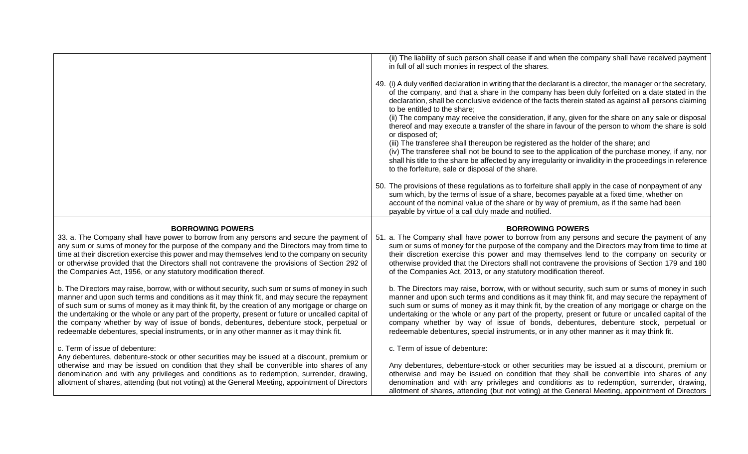|                                                                                                                                                                                                                                                                                                                                                                                                                                                                                                                                                                                              | (ii) The liability of such person shall cease if and when the company shall have received payment<br>in full of all such monies in respect of the shares.                                                                                                                                                                                                                                                                                                                                                                                                                                                                                                                                                                                                                                                                                                                                                                                                 |
|----------------------------------------------------------------------------------------------------------------------------------------------------------------------------------------------------------------------------------------------------------------------------------------------------------------------------------------------------------------------------------------------------------------------------------------------------------------------------------------------------------------------------------------------------------------------------------------------|-----------------------------------------------------------------------------------------------------------------------------------------------------------------------------------------------------------------------------------------------------------------------------------------------------------------------------------------------------------------------------------------------------------------------------------------------------------------------------------------------------------------------------------------------------------------------------------------------------------------------------------------------------------------------------------------------------------------------------------------------------------------------------------------------------------------------------------------------------------------------------------------------------------------------------------------------------------|
|                                                                                                                                                                                                                                                                                                                                                                                                                                                                                                                                                                                              | 49. (i) A duly verified declaration in writing that the declarant is a director, the manager or the secretary,<br>of the company, and that a share in the company has been duly forfeited on a date stated in the<br>declaration, shall be conclusive evidence of the facts therein stated as against all persons claiming<br>to be entitled to the share;<br>(ii) The company may receive the consideration, if any, given for the share on any sale or disposal<br>thereof and may execute a transfer of the share in favour of the person to whom the share is sold<br>or disposed of;<br>(iii) The transferee shall thereupon be registered as the holder of the share; and<br>(iv) The transferee shall not be bound to see to the application of the purchase money, if any, nor<br>shall his title to the share be affected by any irregularity or invalidity in the proceedings in reference<br>to the forfeiture, sale or disposal of the share. |
|                                                                                                                                                                                                                                                                                                                                                                                                                                                                                                                                                                                              | 50. The provisions of these regulations as to forfeiture shall apply in the case of nonpayment of any<br>sum which, by the terms of issue of a share, becomes payable at a fixed time, whether on<br>account of the nominal value of the share or by way of premium, as if the same had been<br>payable by virtue of a call duly made and notified.                                                                                                                                                                                                                                                                                                                                                                                                                                                                                                                                                                                                       |
| <b>BORROWING POWERS</b>                                                                                                                                                                                                                                                                                                                                                                                                                                                                                                                                                                      | <b>BORROWING POWERS</b>                                                                                                                                                                                                                                                                                                                                                                                                                                                                                                                                                                                                                                                                                                                                                                                                                                                                                                                                   |
| 33. a. The Company shall have power to borrow from any persons and secure the payment of<br>any sum or sums of money for the purpose of the company and the Directors may from time to<br>time at their discretion exercise this power and may themselves lend to the company on security<br>or otherwise provided that the Directors shall not contravene the provisions of Section 292 of<br>the Companies Act, 1956, or any statutory modification thereof.                                                                                                                               | 51. a. The Company shall have power to borrow from any persons and secure the payment of any<br>sum or sums of money for the purpose of the company and the Directors may from time to time at<br>their discretion exercise this power and may themselves lend to the company on security or<br>otherwise provided that the Directors shall not contravene the provisions of Section 179 and 180<br>of the Companies Act, 2013, or any statutory modification thereof.                                                                                                                                                                                                                                                                                                                                                                                                                                                                                    |
| b. The Directors may raise, borrow, with or without security, such sum or sums of money in such<br>manner and upon such terms and conditions as it may think fit, and may secure the repayment<br>of such sum or sums of money as it may think fit, by the creation of any mortgage or charge on<br>the undertaking or the whole or any part of the property, present or future or uncalled capital of<br>the company whether by way of issue of bonds, debentures, debenture stock, perpetual or<br>redeemable debentures, special instruments, or in any other manner as it may think fit. | b. The Directors may raise, borrow, with or without security, such sum or sums of money in such<br>manner and upon such terms and conditions as it may think fit, and may secure the repayment of<br>such sum or sums of money as it may think fit, by the creation of any mortgage or charge on the<br>undertaking or the whole or any part of the property, present or future or uncalled capital of the<br>company whether by way of issue of bonds, debentures, debenture stock, perpetual or<br>redeemable debentures, special instruments, or in any other manner as it may think fit.                                                                                                                                                                                                                                                                                                                                                              |
| c. Term of issue of debenture:                                                                                                                                                                                                                                                                                                                                                                                                                                                                                                                                                               | c. Term of issue of debenture:                                                                                                                                                                                                                                                                                                                                                                                                                                                                                                                                                                                                                                                                                                                                                                                                                                                                                                                            |
| Any debentures, debenture-stock or other securities may be issued at a discount, premium or<br>otherwise and may be issued on condition that they shall be convertible into shares of any<br>denomination and with any privileges and conditions as to redemption, surrender, drawing,<br>allotment of shares, attending (but not voting) at the General Meeting, appointment of Directors                                                                                                                                                                                                   | Any debentures, debenture-stock or other securities may be issued at a discount, premium or<br>otherwise and may be issued on condition that they shall be convertible into shares of any<br>denomination and with any privileges and conditions as to redemption, surrender, drawing,<br>allotment of shares, attending (but not voting) at the General Meeting, appointment of Directors                                                                                                                                                                                                                                                                                                                                                                                                                                                                                                                                                                |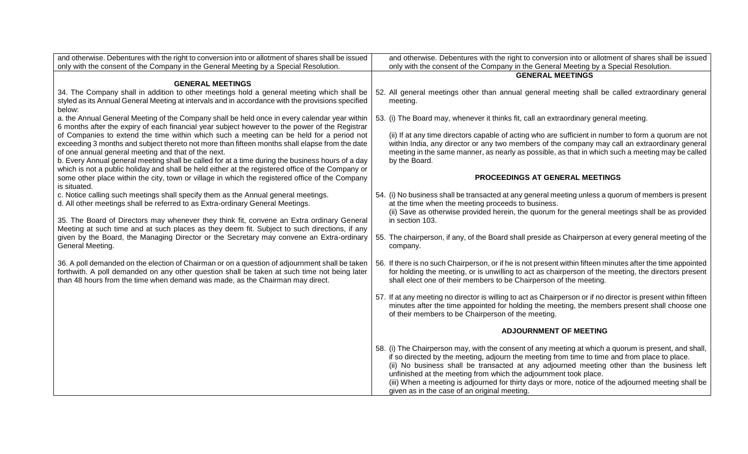| and otherwise. Debentures with the right to conversion into or allotment of shares shall be issued                                                                                              | and otherwise. Debentures with the right to conversion into or allotment of shares shall be issued             |
|-------------------------------------------------------------------------------------------------------------------------------------------------------------------------------------------------|----------------------------------------------------------------------------------------------------------------|
| only with the consent of the Company in the General Meeting by a Special Resolution.                                                                                                            | only with the consent of the Company in the General Meeting by a Special Resolution.                           |
|                                                                                                                                                                                                 | <b>GENERAL MEETINGS</b>                                                                                        |
| <b>GENERAL MEETINGS</b>                                                                                                                                                                         |                                                                                                                |
| 34. The Company shall in addition to other meetings hold a general meeting which shall be                                                                                                       | 52. All general meetings other than annual general meeting shall be called extraordinary general               |
| styled as its Annual General Meeting at intervals and in accordance with the provisions specified<br>below:                                                                                     | meeting.                                                                                                       |
| a. the Annual General Meeting of the Company shall be held once in every calendar year within<br>6 months after the expiry of each financial year subject however to the power of the Registrar | 53. (i) The Board may, whenever it thinks fit, call an extraordinary general meeting.                          |
| of Companies to extend the time within which such a meeting can be held for a period not                                                                                                        | (ii) If at any time directors capable of acting who are sufficient in number to form a quorum are not          |
| exceeding 3 months and subject thereto not more than fifteen months shall elapse from the date                                                                                                  | within India, any director or any two members of the company may call an extraordinary general                 |
| of one annual general meeting and that of the next.                                                                                                                                             | meeting in the same manner, as nearly as possible, as that in which such a meeting may be called               |
| b. Every Annual general meeting shall be called for at a time during the business hours of a day                                                                                                | by the Board.                                                                                                  |
| which is not a public holiday and shall be held either at the registered office of the Company or                                                                                               |                                                                                                                |
| some other place within the city, town or village in which the registered office of the Company                                                                                                 | PROCEEDINGS AT GENERAL MEETINGS                                                                                |
| is situated.                                                                                                                                                                                    |                                                                                                                |
| c. Notice calling such meetings shall specify them as the Annual general meetings.                                                                                                              | 54. (i) No business shall be transacted at any general meeting unless a quorum of members is present           |
| d. All other meetings shall be referred to as Extra-ordinary General Meetings.                                                                                                                  | at the time when the meeting proceeds to business.                                                             |
|                                                                                                                                                                                                 | (ii) Save as otherwise provided herein, the quorum for the general meetings shall be as provided               |
| 35. The Board of Directors may whenever they think fit, convene an Extra ordinary General<br>Meeting at such time and at such places as they deem fit. Subject to such directions, if any       | in section 103.                                                                                                |
| given by the Board, the Managing Director or the Secretary may convene an Extra-ordinary                                                                                                        | 55. The chairperson, if any, of the Board shall preside as Chairperson at every general meeting of the         |
| General Meeting.                                                                                                                                                                                | company.                                                                                                       |
|                                                                                                                                                                                                 |                                                                                                                |
| 36. A poll demanded on the election of Chairman or on a question of adjournment shall be taken                                                                                                  | 56. If there is no such Chairperson, or if he is not present within fifteen minutes after the time appointed   |
| forthwith. A poll demanded on any other question shall be taken at such time not being later                                                                                                    | for holding the meeting, or is unwilling to act as chairperson of the meeting, the directors present           |
| than 48 hours from the time when demand was made, as the Chairman may direct.                                                                                                                   | shall elect one of their members to be Chairperson of the meeting.                                             |
|                                                                                                                                                                                                 |                                                                                                                |
|                                                                                                                                                                                                 | 57. If at any meeting no director is willing to act as Chairperson or if no director is present within fifteen |
|                                                                                                                                                                                                 | minutes after the time appointed for holding the meeting, the members present shall choose one                 |
|                                                                                                                                                                                                 | of their members to be Chairperson of the meeting.                                                             |
|                                                                                                                                                                                                 | <b>ADJOURNMENT OF MEETING</b>                                                                                  |
|                                                                                                                                                                                                 | 58. (i) The Chairperson may, with the consent of any meeting at which a quorum is present, and shall,          |
|                                                                                                                                                                                                 | if so directed by the meeting, adjourn the meeting from time to time and from place to place.                  |
|                                                                                                                                                                                                 | (ii) No business shall be transacted at any adjourned meeting other than the business left                     |
|                                                                                                                                                                                                 | unfinished at the meeting from which the adjournment took place.                                               |
|                                                                                                                                                                                                 | (iii) When a meeting is adjourned for thirty days or more, notice of the adjourned meeting shall be            |
|                                                                                                                                                                                                 | given as in the case of an original meeting.                                                                   |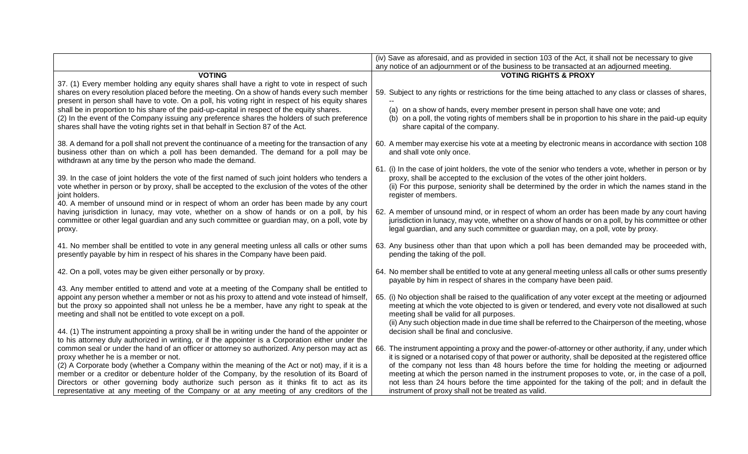|                                                                                                                                                                                                                                                                                                                                                                                                                                                                                                                                                                                    | (iv) Save as aforesaid, and as provided in section 103 of the Act, it shall not be necessary to give                                                                                                                                                                                                                                                                                                                                                                                                                     |
|------------------------------------------------------------------------------------------------------------------------------------------------------------------------------------------------------------------------------------------------------------------------------------------------------------------------------------------------------------------------------------------------------------------------------------------------------------------------------------------------------------------------------------------------------------------------------------|--------------------------------------------------------------------------------------------------------------------------------------------------------------------------------------------------------------------------------------------------------------------------------------------------------------------------------------------------------------------------------------------------------------------------------------------------------------------------------------------------------------------------|
|                                                                                                                                                                                                                                                                                                                                                                                                                                                                                                                                                                                    | any notice of an adjournment or of the business to be transacted at an adjourned meeting.                                                                                                                                                                                                                                                                                                                                                                                                                                |
| <b>VOTING</b>                                                                                                                                                                                                                                                                                                                                                                                                                                                                                                                                                                      | <b>VOTING RIGHTS &amp; PROXY</b>                                                                                                                                                                                                                                                                                                                                                                                                                                                                                         |
| 37. (1) Every member holding any equity shares shall have a right to vote in respect of such<br>shares on every resolution placed before the meeting. On a show of hands every such member<br>present in person shall have to vote. On a poll, his voting right in respect of his equity shares<br>shall be in proportion to his share of the paid-up-capital in respect of the equity shares.<br>(2) In the event of the Company issuing any preference shares the holders of such preference<br>shares shall have the voting rights set in that behalf in Section 87 of the Act. | 59. Subject to any rights or restrictions for the time being attached to any class or classes of shares,<br>(a) on a show of hands, every member present in person shall have one vote; and<br>(b) on a poll, the voting rights of members shall be in proportion to his share in the paid-up equity<br>share capital of the company.                                                                                                                                                                                    |
| 38. A demand for a poll shall not prevent the continuance of a meeting for the transaction of any<br>business other than on which a poll has been demanded. The demand for a poll may be<br>withdrawn at any time by the person who made the demand.                                                                                                                                                                                                                                                                                                                               | 60. A member may exercise his vote at a meeting by electronic means in accordance with section 108<br>and shall vote only once.                                                                                                                                                                                                                                                                                                                                                                                          |
| 39. In the case of joint holders the vote of the first named of such joint holders who tenders a<br>vote whether in person or by proxy, shall be accepted to the exclusion of the votes of the other<br>joint holders.<br>40. A member of unsound mind or in respect of whom an order has been made by any court                                                                                                                                                                                                                                                                   | 61. (i) In the case of joint holders, the vote of the senior who tenders a vote, whether in person or by<br>proxy, shall be accepted to the exclusion of the votes of the other joint holders.<br>(ii) For this purpose, seniority shall be determined by the order in which the names stand in the<br>register of members.                                                                                                                                                                                              |
| having jurisdiction in lunacy, may vote, whether on a show of hands or on a poll, by his<br>committee or other legal guardian and any such committee or guardian may, on a poll, vote by<br>proxy.                                                                                                                                                                                                                                                                                                                                                                                 | 62. A member of unsound mind, or in respect of whom an order has been made by any court having<br>jurisdiction in lunacy, may vote, whether on a show of hands or on a poll, by his committee or other<br>legal guardian, and any such committee or guardian may, on a poll, vote by proxy.                                                                                                                                                                                                                              |
| 41. No member shall be entitled to vote in any general meeting unless all calls or other sums<br>presently payable by him in respect of his shares in the Company have been paid.                                                                                                                                                                                                                                                                                                                                                                                                  | 63. Any business other than that upon which a poll has been demanded may be proceeded with,<br>pending the taking of the poll.                                                                                                                                                                                                                                                                                                                                                                                           |
| 42. On a poll, votes may be given either personally or by proxy.                                                                                                                                                                                                                                                                                                                                                                                                                                                                                                                   | 64. No member shall be entitled to vote at any general meeting unless all calls or other sums presently<br>payable by him in respect of shares in the company have been paid.                                                                                                                                                                                                                                                                                                                                            |
| 43. Any member entitled to attend and vote at a meeting of the Company shall be entitled to<br>appoint any person whether a member or not as his proxy to attend and vote instead of himself,<br>but the proxy so appointed shall not unless he be a member, have any right to speak at the<br>meeting and shall not be entitled to vote except on a poll.                                                                                                                                                                                                                         | 65. (i) No objection shall be raised to the qualification of any voter except at the meeting or adjourned<br>meeting at which the vote objected to is given or tendered, and every vote not disallowed at such<br>meeting shall be valid for all purposes.<br>(ii) Any such objection made in due time shall be referred to the Chairperson of the meeting, whose                                                                                                                                                        |
| 44. (1) The instrument appointing a proxy shall be in writing under the hand of the appointer or<br>to his attorney duly authorized in writing, or if the appointer is a Corporation either under the                                                                                                                                                                                                                                                                                                                                                                              | decision shall be final and conclusive.                                                                                                                                                                                                                                                                                                                                                                                                                                                                                  |
| common seal or under the hand of an officer or attorney so authorized. Any person may act as<br>proxy whether he is a member or not.<br>(2) A Corporate body (whether a Company within the meaning of the Act or not) may, if it is a<br>member or a creditor or debenture holder of the Company, by the resolution of its Board of<br>Directors or other governing body authorize such person as it thinks fit to act as its                                                                                                                                                      | 66. The instrument appointing a proxy and the power-of-attorney or other authority, if any, under which<br>it is signed or a notarised copy of that power or authority, shall be deposited at the registered office<br>of the company not less than 48 hours before the time for holding the meeting or adjourned<br>meeting at which the person named in the instrument proposes to vote, or, in the case of a poll,<br>not less than 24 hours before the time appointed for the taking of the poll; and in default the |
| representative at any meeting of the Company or at any meeting of any creditors of the                                                                                                                                                                                                                                                                                                                                                                                                                                                                                             | instrument of proxy shall not be treated as valid.                                                                                                                                                                                                                                                                                                                                                                                                                                                                       |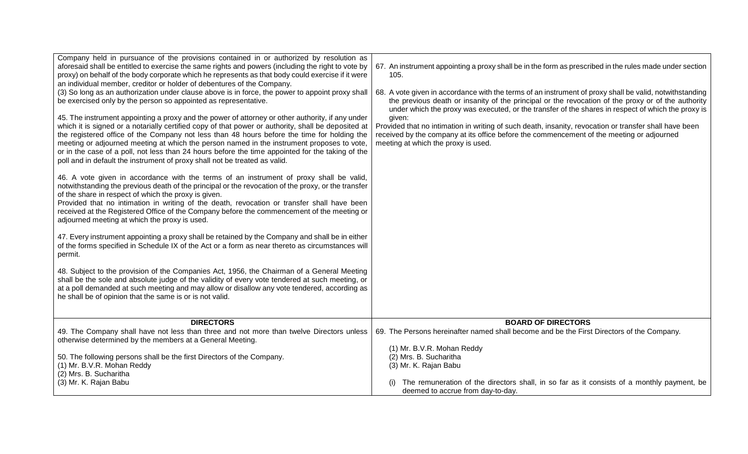| Company held in pursuance of the provisions contained in or authorized by resolution as<br>aforesaid shall be entitled to exercise the same rights and powers (including the right to vote by<br>proxy) on behalf of the body corporate which he represents as that body could exercise if it were<br>an individual member, creditor or holder of debentures of the Company.<br>(3) So long as an authorization under clause above is in force, the power to appoint proxy shall<br>be exercised only by the person so appointed as representative.<br>45. The instrument appointing a proxy and the power of attorney or other authority, if any under<br>which it is signed or a notarially certified copy of that power or authority, shall be deposited at<br>the registered office of the Company not less than 48 hours before the time for holding the<br>meeting or adjourned meeting at which the person named in the instrument proposes to vote,<br>or in the case of a poll, not less than 24 hours before the time appointed for the taking of the<br>poll and in default the instrument of proxy shall not be treated as valid. | 67. An instrument appointing a proxy shall be in the form as prescribed in the rules made under section<br>105.<br>68. A vote given in accordance with the terms of an instrument of proxy shall be valid, notwithstanding<br>the previous death or insanity of the principal or the revocation of the proxy or of the authority<br>under which the proxy was executed, or the transfer of the shares in respect of which the proxy is<br>given:<br>Provided that no intimation in writing of such death, insanity, revocation or transfer shall have been<br>received by the company at its office before the commencement of the meeting or adjourned<br>meeting at which the proxy is used. |
|-----------------------------------------------------------------------------------------------------------------------------------------------------------------------------------------------------------------------------------------------------------------------------------------------------------------------------------------------------------------------------------------------------------------------------------------------------------------------------------------------------------------------------------------------------------------------------------------------------------------------------------------------------------------------------------------------------------------------------------------------------------------------------------------------------------------------------------------------------------------------------------------------------------------------------------------------------------------------------------------------------------------------------------------------------------------------------------------------------------------------------------------------|------------------------------------------------------------------------------------------------------------------------------------------------------------------------------------------------------------------------------------------------------------------------------------------------------------------------------------------------------------------------------------------------------------------------------------------------------------------------------------------------------------------------------------------------------------------------------------------------------------------------------------------------------------------------------------------------|
| 46. A vote given in accordance with the terms of an instrument of proxy shall be valid,<br>notwithstanding the previous death of the principal or the revocation of the proxy, or the transfer<br>of the share in respect of which the proxy is given.<br>Provided that no intimation in writing of the death, revocation or transfer shall have been<br>received at the Registered Office of the Company before the commencement of the meeting or<br>adjourned meeting at which the proxy is used.<br>47. Every instrument appointing a proxy shall be retained by the Company and shall be in either<br>of the forms specified in Schedule IX of the Act or a form as near thereto as circumstances will<br>permit.<br>48. Subject to the provision of the Companies Act, 1956, the Chairman of a General Meeting<br>shall be the sole and absolute judge of the validity of every vote tendered at such meeting, or<br>at a poll demanded at such meeting and may allow or disallow any vote tendered, according as<br>he shall be of opinion that the same is or is not valid.                                                           |                                                                                                                                                                                                                                                                                                                                                                                                                                                                                                                                                                                                                                                                                                |
| <b>DIRECTORS</b>                                                                                                                                                                                                                                                                                                                                                                                                                                                                                                                                                                                                                                                                                                                                                                                                                                                                                                                                                                                                                                                                                                                              | <b>BOARD OF DIRECTORS</b>                                                                                                                                                                                                                                                                                                                                                                                                                                                                                                                                                                                                                                                                      |
| 49. The Company shall have not less than three and not more than twelve Directors unless<br>otherwise determined by the members at a General Meeting.<br>50. The following persons shall be the first Directors of the Company.<br>(1) Mr. B.V.R. Mohan Reddy<br>(2) Mrs. B. Sucharitha                                                                                                                                                                                                                                                                                                                                                                                                                                                                                                                                                                                                                                                                                                                                                                                                                                                       | 69. The Persons hereinafter named shall become and be the First Directors of the Company.<br>(1) Mr. B.V.R. Mohan Reddy<br>(2) Mrs. B. Sucharitha<br>(3) Mr. K. Rajan Babu                                                                                                                                                                                                                                                                                                                                                                                                                                                                                                                     |
| (3) Mr. K. Rajan Babu                                                                                                                                                                                                                                                                                                                                                                                                                                                                                                                                                                                                                                                                                                                                                                                                                                                                                                                                                                                                                                                                                                                         | The remuneration of the directors shall, in so far as it consists of a monthly payment, be<br>deemed to accrue from day-to-day.                                                                                                                                                                                                                                                                                                                                                                                                                                                                                                                                                                |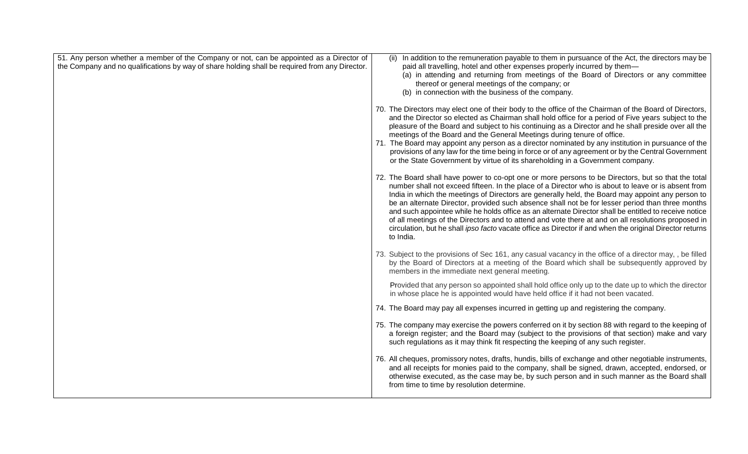| 51. Any person whether a member of the Company or not, can be appointed as a Director of<br>the Company and no qualifications by way of share holding shall be required from any Director. | (ii) In addition to the remuneration payable to them in pursuance of the Act, the directors may be<br>paid all travelling, hotel and other expenses properly incurred by them-<br>(a) in attending and returning from meetings of the Board of Directors or any committee<br>thereof or general meetings of the company; or<br>(b) in connection with the business of the company.                                                                                                                                                                                                                                                                                                                                                                          |
|--------------------------------------------------------------------------------------------------------------------------------------------------------------------------------------------|-------------------------------------------------------------------------------------------------------------------------------------------------------------------------------------------------------------------------------------------------------------------------------------------------------------------------------------------------------------------------------------------------------------------------------------------------------------------------------------------------------------------------------------------------------------------------------------------------------------------------------------------------------------------------------------------------------------------------------------------------------------|
|                                                                                                                                                                                            | 70. The Directors may elect one of their body to the office of the Chairman of the Board of Directors,<br>and the Director so elected as Chairman shall hold office for a period of Five years subject to the<br>pleasure of the Board and subject to his continuing as a Director and he shall preside over all the<br>meetings of the Board and the General Meetings during tenure of office.<br>71. The Board may appoint any person as a director nominated by any institution in pursuance of the<br>provisions of any law for the time being in force or of any agreement or by the Central Government<br>or the State Government by virtue of its shareholding in a Government company.                                                              |
|                                                                                                                                                                                            | 72. The Board shall have power to co-opt one or more persons to be Directors, but so that the total<br>number shall not exceed fifteen. In the place of a Director who is about to leave or is absent from<br>India in which the meetings of Directors are generally held, the Board may appoint any person to<br>be an alternate Director, provided such absence shall not be for lesser period than three months<br>and such appointee while he holds office as an alternate Director shall be entitled to receive notice<br>of all meetings of the Directors and to attend and vote there at and on all resolutions proposed in<br>circulation, but he shall ipso facto vacate office as Director if and when the original Director returns<br>to India. |
|                                                                                                                                                                                            | 73. Subject to the provisions of Sec 161, any casual vacancy in the office of a director may, , be filled<br>by the Board of Directors at a meeting of the Board which shall be subsequently approved by<br>members in the immediate next general meeting.                                                                                                                                                                                                                                                                                                                                                                                                                                                                                                  |
|                                                                                                                                                                                            | Provided that any person so appointed shall hold office only up to the date up to which the director<br>in whose place he is appointed would have held office if it had not been vacated.                                                                                                                                                                                                                                                                                                                                                                                                                                                                                                                                                                   |
|                                                                                                                                                                                            | 74. The Board may pay all expenses incurred in getting up and registering the company.                                                                                                                                                                                                                                                                                                                                                                                                                                                                                                                                                                                                                                                                      |
|                                                                                                                                                                                            | 75. The company may exercise the powers conferred on it by section 88 with regard to the keeping of<br>a foreign register; and the Board may (subject to the provisions of that section) make and vary<br>such regulations as it may think fit respecting the keeping of any such register.                                                                                                                                                                                                                                                                                                                                                                                                                                                                 |
|                                                                                                                                                                                            | 76. All cheques, promissory notes, drafts, hundis, bills of exchange and other negotiable instruments,<br>and all receipts for monies paid to the company, shall be signed, drawn, accepted, endorsed, or<br>otherwise executed, as the case may be, by such person and in such manner as the Board shall<br>from time to time by resolution determine.                                                                                                                                                                                                                                                                                                                                                                                                     |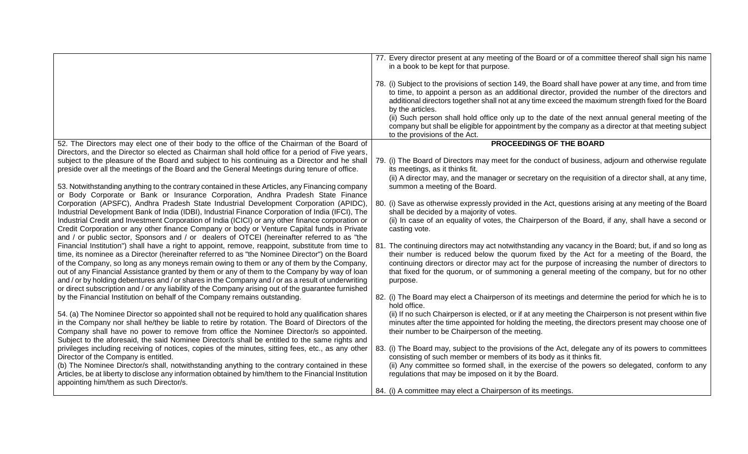|                                                                                                                                                                                                                                                                                                                                                                                                                                                                                                                                                                                                                 | 77. Every director present at any meeting of the Board or of a committee thereof shall sign his name<br>in a book to be kept for that purpose.<br>78. (i) Subject to the provisions of section 149, the Board shall have power at any time, and from time<br>to time, to appoint a person as an additional director, provided the number of the directors and<br>additional directors together shall not at any time exceed the maximum strength fixed for the Board<br>by the articles.<br>(ii) Such person shall hold office only up to the date of the next annual general meeting of the<br>company but shall be eligible for appointment by the company as a director at that meeting subject<br>to the provisions of the Act. |
|-----------------------------------------------------------------------------------------------------------------------------------------------------------------------------------------------------------------------------------------------------------------------------------------------------------------------------------------------------------------------------------------------------------------------------------------------------------------------------------------------------------------------------------------------------------------------------------------------------------------|-------------------------------------------------------------------------------------------------------------------------------------------------------------------------------------------------------------------------------------------------------------------------------------------------------------------------------------------------------------------------------------------------------------------------------------------------------------------------------------------------------------------------------------------------------------------------------------------------------------------------------------------------------------------------------------------------------------------------------------|
| 52. The Directors may elect one of their body to the office of the Chairman of the Board of                                                                                                                                                                                                                                                                                                                                                                                                                                                                                                                     | PROCEEDINGS OF THE BOARD                                                                                                                                                                                                                                                                                                                                                                                                                                                                                                                                                                                                                                                                                                            |
| Directors, and the Director so elected as Chairman shall hold office for a period of Five years,<br>subject to the pleasure of the Board and subject to his continuing as a Director and he shall<br>preside over all the meetings of the Board and the General Meetings during tenure of office.                                                                                                                                                                                                                                                                                                               | 79. (i) The Board of Directors may meet for the conduct of business, adjourn and otherwise regulate<br>its meetings, as it thinks fit.<br>(ii) A director may, and the manager or secretary on the requisition of a director shall, at any time,                                                                                                                                                                                                                                                                                                                                                                                                                                                                                    |
| 53. Notwithstanding anything to the contrary contained in these Articles, any Financing company                                                                                                                                                                                                                                                                                                                                                                                                                                                                                                                 | summon a meeting of the Board.                                                                                                                                                                                                                                                                                                                                                                                                                                                                                                                                                                                                                                                                                                      |
| or Body Corporate or Bank or Insurance Corporation, Andhra Pradesh State Finance<br>Corporation (APSFC), Andhra Pradesh State Industrial Development Corporation (APIDC),                                                                                                                                                                                                                                                                                                                                                                                                                                       | 80. (i) Save as otherwise expressly provided in the Act, questions arising at any meeting of the Board                                                                                                                                                                                                                                                                                                                                                                                                                                                                                                                                                                                                                              |
| Industrial Development Bank of India (IDBI), Industrial Finance Corporation of India (IFCI), The<br>Industrial Credit and Investment Corporation of India (ICICI) or any other finance corporation or<br>Credit Corporation or any other finance Company or body or Venture Capital funds in Private<br>and / or public sector, Sponsors and / or dealers of OTCEI (hereinafter referred to as "the                                                                                                                                                                                                             | shall be decided by a majority of votes.<br>(ii) In case of an equality of votes, the Chairperson of the Board, if any, shall have a second or<br>casting vote.                                                                                                                                                                                                                                                                                                                                                                                                                                                                                                                                                                     |
| Financial Institution") shall have a right to appoint, remove, reappoint, substitute from time to<br>time, its nominee as a Director (hereinafter referred to as "the Nominee Director") on the Board<br>of the Company, so long as any moneys remain owing to them or any of them by the Company,<br>out of any Financial Assistance granted by them or any of them to the Company by way of loan<br>and / or by holding debentures and / or shares in the Company and / or as a result of underwriting<br>or direct subscription and / or any liability of the Company arising out of the guarantee furnished | 81. The continuing directors may act notwithstanding any vacancy in the Board; but, if and so long as<br>their number is reduced below the quorum fixed by the Act for a meeting of the Board, the<br>continuing directors or director may act for the purpose of increasing the number of directors to<br>that fixed for the quorum, or of summoning a general meeting of the company, but for no other<br>purpose.                                                                                                                                                                                                                                                                                                                |
| by the Financial Institution on behalf of the Company remains outstanding.                                                                                                                                                                                                                                                                                                                                                                                                                                                                                                                                      | 82. (i) The Board may elect a Chairperson of its meetings and determine the period for which he is to<br>hold office.                                                                                                                                                                                                                                                                                                                                                                                                                                                                                                                                                                                                               |
| 54. (a) The Nominee Director so appointed shall not be required to hold any qualification shares<br>in the Company nor shall he/they be liable to retire by rotation. The Board of Directors of the<br>Company shall have no power to remove from office the Nominee Director/s so appointed.<br>Subject to the aforesaid, the said Nominee Director/s shall be entitled to the same rights and                                                                                                                                                                                                                 | (ii) If no such Chairperson is elected, or if at any meeting the Chairperson is not present within five<br>minutes after the time appointed for holding the meeting, the directors present may choose one of<br>their number to be Chairperson of the meeting.                                                                                                                                                                                                                                                                                                                                                                                                                                                                      |
| privileges including receiving of notices, copies of the minutes, sitting fees, etc., as any other<br>Director of the Company is entitled.<br>(b) The Nominee Director/s shall, notwithstanding anything to the contrary contained in these<br>Articles, be at liberty to disclose any information obtained by him/them to the Financial Institution<br>appointing him/them as such Director/s.                                                                                                                                                                                                                 | 83. (i) The Board may, subject to the provisions of the Act, delegate any of its powers to committees<br>consisting of such member or members of its body as it thinks fit.<br>(ii) Any committee so formed shall, in the exercise of the powers so delegated, conform to any<br>regulations that may be imposed on it by the Board.                                                                                                                                                                                                                                                                                                                                                                                                |
|                                                                                                                                                                                                                                                                                                                                                                                                                                                                                                                                                                                                                 | 84. (i) A committee may elect a Chairperson of its meetings.                                                                                                                                                                                                                                                                                                                                                                                                                                                                                                                                                                                                                                                                        |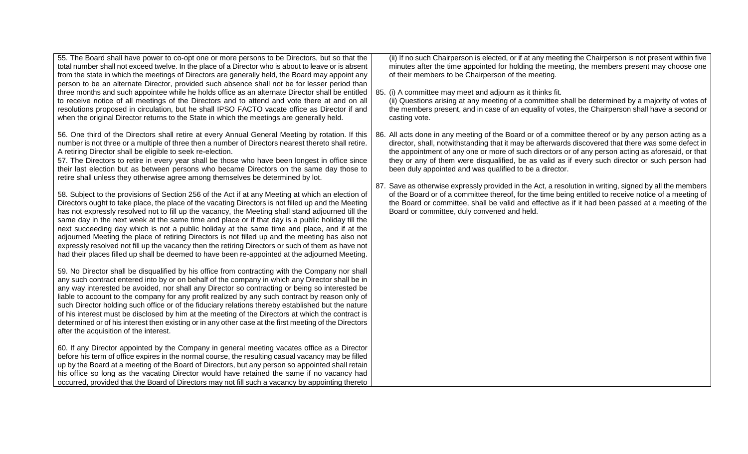| 55. The Board shall have power to co-opt one or more persons to be Directors, but so that the<br>total number shall not exceed twelve. In the place of a Director who is about to leave or is absent<br>from the state in which the meetings of Directors are generally held, the Board may appoint any<br>person to be an alternate Director, provided such absence shall not be for lesser period than<br>three months and such appointee while he holds office as an alternate Director shall be entitled<br>to receive notice of all meetings of the Directors and to attend and vote there at and on all<br>resolutions proposed in circulation, but he shall IPSO FACTO vacate office as Director if and<br>when the original Director returns to the State in which the meetings are generally held.                                                                                                                                                                                                                                                                                                                                                                                                                                                                                                                                                                                                                                                                                                                                                                                                                                                                                                                                                                                                                                                                                                                                                                                                                                                                                                                                                                                                                                                                                                                                                                                                                                                                                                                                                                                                                                                                 | (ii) If no such Chairperson is elected, or if at any meeting the Chairperson is not present within five<br>minutes after the time appointed for holding the meeting, the members present may choose one<br>of their members to be Chairperson of the meeting.<br>85. (i) A committee may meet and adjourn as it thinks fit.<br>(ii) Questions arising at any meeting of a committee shall be determined by a majority of votes of<br>the members present, and in case of an equality of votes, the Chairperson shall have a second or<br>casting vote.                                                                                                                                                                                                                                                                                                  |
|-----------------------------------------------------------------------------------------------------------------------------------------------------------------------------------------------------------------------------------------------------------------------------------------------------------------------------------------------------------------------------------------------------------------------------------------------------------------------------------------------------------------------------------------------------------------------------------------------------------------------------------------------------------------------------------------------------------------------------------------------------------------------------------------------------------------------------------------------------------------------------------------------------------------------------------------------------------------------------------------------------------------------------------------------------------------------------------------------------------------------------------------------------------------------------------------------------------------------------------------------------------------------------------------------------------------------------------------------------------------------------------------------------------------------------------------------------------------------------------------------------------------------------------------------------------------------------------------------------------------------------------------------------------------------------------------------------------------------------------------------------------------------------------------------------------------------------------------------------------------------------------------------------------------------------------------------------------------------------------------------------------------------------------------------------------------------------------------------------------------------------------------------------------------------------------------------------------------------------------------------------------------------------------------------------------------------------------------------------------------------------------------------------------------------------------------------------------------------------------------------------------------------------------------------------------------------------------------------------------------------------------------------------------------------------|---------------------------------------------------------------------------------------------------------------------------------------------------------------------------------------------------------------------------------------------------------------------------------------------------------------------------------------------------------------------------------------------------------------------------------------------------------------------------------------------------------------------------------------------------------------------------------------------------------------------------------------------------------------------------------------------------------------------------------------------------------------------------------------------------------------------------------------------------------|
| 56. One third of the Directors shall retire at every Annual General Meeting by rotation. If this<br>number is not three or a multiple of three then a number of Directors nearest thereto shall retire.<br>A retiring Director shall be eligible to seek re-election.<br>57. The Directors to retire in every year shall be those who have been longest in office since<br>their last election but as between persons who became Directors on the same day those to<br>retire shall unless they otherwise agree among themselves be determined by lot.<br>58. Subject to the provisions of Section 256 of the Act if at any Meeting at which an election of<br>Directors ought to take place, the place of the vacating Directors is not filled up and the Meeting<br>has not expressly resolved not to fill up the vacancy, the Meeting shall stand adjourned till the<br>same day in the next week at the same time and place or if that day is a public holiday till the<br>next succeeding day which is not a public holiday at the same time and place, and if at the<br>adjourned Meeting the place of retiring Directors is not filled up and the meeting has also not<br>expressly resolved not fill up the vacancy then the retiring Directors or such of them as have not<br>had their places filled up shall be deemed to have been re-appointed at the adjourned Meeting.<br>59. No Director shall be disqualified by his office from contracting with the Company nor shall<br>any such contract entered into by or on behalf of the company in which any Director shall be in<br>any way interested be avoided, nor shall any Director so contracting or being so interested be<br>liable to account to the company for any profit realized by any such contract by reason only of<br>such Director holding such office or of the fiduciary relations thereby established but the nature<br>of his interest must be disclosed by him at the meeting of the Directors at which the contract is<br>determined or of his interest then existing or in any other case at the first meeting of the Directors<br>after the acquisition of the interest.<br>60. If any Director appointed by the Company in general meeting vacates office as a Director<br>before his term of office expires in the normal course, the resulting casual vacancy may be filled<br>up by the Board at a meeting of the Board of Directors, but any person so appointed shall retain<br>his office so long as the vacating Director would have retained the same if no vacancy had<br>occurred, provided that the Board of Directors may not fill such a vacancy by appointing thereto | 86. All acts done in any meeting of the Board or of a committee thereof or by any person acting as a<br>director, shall, notwithstanding that it may be afterwards discovered that there was some defect in<br>the appointment of any one or more of such directors or of any person acting as aforesaid, or that<br>they or any of them were disqualified, be as valid as if every such director or such person had<br>been duly appointed and was qualified to be a director.<br>87. Save as otherwise expressly provided in the Act, a resolution in writing, signed by all the members<br>of the Board or of a committee thereof, for the time being entitled to receive notice of a meeting of<br>the Board or committee, shall be valid and effective as if it had been passed at a meeting of the<br>Board or committee, duly convened and held. |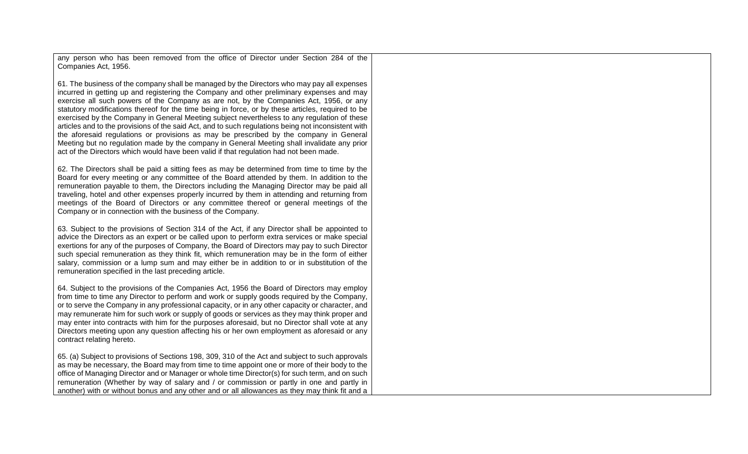any person who has been removed from the office of Director under Section 284 of the Companies Act, 1956.

61. The business of the company shall be managed by the Directors who may pay all expenses incurred in getting up and registering the Company and other preliminary expenses and may exercise all such powers of the Company as are not, by the Companies Act, 1956, or any statutory modifications thereof for the time being in force, or by these articles, required to be exercised by the Company in General Meeting subject nevertheless to any regulation of these articles and to the provisions of the said Act, and to such regulations being not inconsistent with the aforesaid regulations or provisions as may be prescribed by the company in General Meeting but no regulation made by the company in General Meeting shall invalidate any prior act of the Directors which would have been valid if that regulation had not been made.

62. The Directors shall be paid a sitting fees as may be determined from time to time by the Board for every meeting or any committee of the Board attended by them. In addition to the remuneration payable to them, the Directors including the Managing Director may be paid all traveling, hotel and other expenses properly incurred by them in attending and returning from meetings of the Board of Directors or any committee thereof or general meetings of the Company or in connection with the business of the Company.

63. Subject to the provisions of Section 314 of the Act, if any Director shall be appointed to advice the Directors as an expert or be called upon to perform extra services or make special exertions for any of the purposes of Company, the Board of Directors may pay to such Director such special remuneration as they think fit, which remuneration may be in the form of either salary, commission or a lump sum and may either be in addition to or in substitution of the remuneration specified in the last preceding article.

64. Subject to the provisions of the Companies Act, 1956 the Board of Directors may employ from time to time any Director to perform and work or supply goods required by the Company, or to serve the Company in any professional capacity, or in any other capacity or character, and may remunerate him for such work or supply of goods or services as they may think proper and may enter into contracts with him for the purposes aforesaid, but no Director shall vote at any Directors meeting upon any question affecting his or her own employment as aforesaid or any contract relating hereto.

65. (a) Subject to provisions of Sections 198, 309, 310 of the Act and subject to such approvals as may be necessary, the Board may from time to time appoint one or more of their body to the office of Managing Director and or Manager or whole time Director(s) for such term, and on such remuneration (Whether by way of salary and / or commission or partly in one and partly in another) with or without bonus and any other and or all allowances as they may think fit and a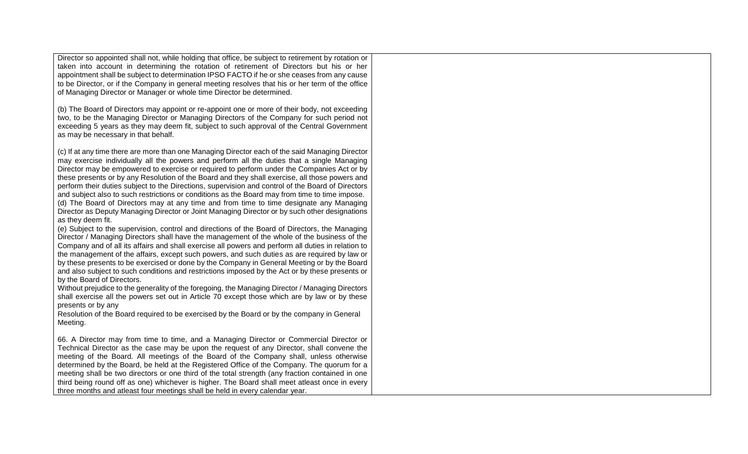Director so appointed shall not, while holding that office, be subject to retirement by rotation or taken into account in determining the rotation of retirement of Directors but his or her appointment shall be subject to determination IPSO FACTO if he or she ceases from any cause to be Director, or if the Company in general meeting resolves that his or her term of the office of Managing Director or Manager or whole time Director be determined.

(b) The Board of Directors may appoint or re-appoint one or more of their body, not exceeding two, to be the Managing Director or Managing Directors of the Company for such period not exceeding 5 years as they may deem fit, subject to such approval of the Central Government as may be necessary in that behalf.

(c) If at any time there are more than one Managing Director each of the said Managing Director may exercise individually all the powers and perform all the duties that a single Managing Director may be empowered to exercise or required to perform under the Companies Act or by these presents or by any Resolution of the Board and they shall exercise, all those powers and perform their duties subject to the Directions, supervision and control of the Board of Directors and subject also to such restrictions or conditions as the Board may from time to time impose. (d) The Board of Directors may at any time and from time to time designate any Managing Director as Deputy Managing Director or Joint Managing Director or by such other designations as they deem fit.

(e) Subject to the supervision, control and directions of the Board of Directors, the Managing Director / Managing Directors shall have the management of the whole of the business of the Company and of all its affairs and shall exercise all powers and perform all duties in relation to the management of the affairs, except such powers, and such duties as are required by law or by these presents to be exercised or done by the Company in General Meeting or by the Board and also subject to such conditions and restrictions imposed by the Act or by these presents or by the Board of Directors.

Without prejudice to the generality of the foregoing, the Managing Director / Managing Directors shall exercise all the powers set out in Article 70 except those which are by law or by these presents or by any

Resolution of the Board required to be exercised by the Board or by the company in General Meeting.

66. A Director may from time to time, and a Managing Director or Commercial Director or Technical Director as the case may be upon the request of any Director, shall convene the meeting of the Board. All meetings of the Board of the Company shall, unless otherwise determined by the Board, be held at the Registered Office of the Company. The quorum for a meeting shall be two directors or one third of the total strength (any fraction contained in one third being round off as one) whichever is higher. The Board shall meet atleast once in every three months and atleast four meetings shall be held in every calendar year.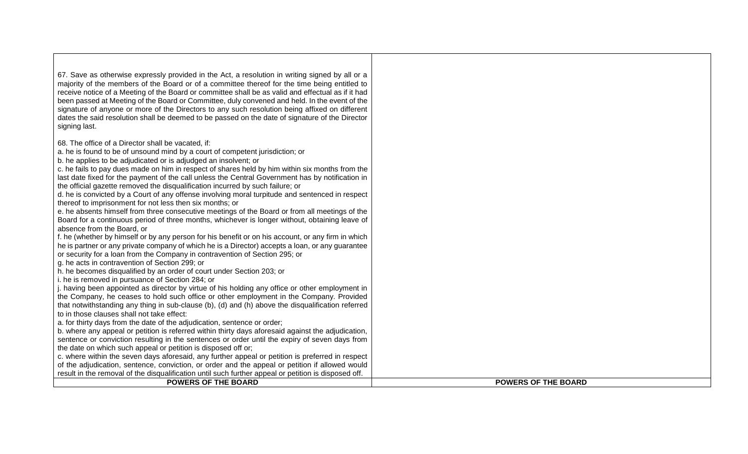| 67. Save as otherwise expressly provided in the Act, a resolution in writing signed by all or a<br>majority of the members of the Board or of a committee thereof for the time being entitled to<br>receive notice of a Meeting of the Board or committee shall be as valid and effectual as if it had<br>been passed at Meeting of the Board or Committee, duly convened and held. In the event of the<br>signature of anyone or more of the Directors to any such resolution being affixed on different<br>dates the said resolution shall be deemed to be passed on the date of signature of the Director<br>signing last.                                                                                                                                                                                                                                                                                                                                                                                                                                                                                                                                                                                                                                                                                                                                                                                                                                                                                                                                                                                                                                                                                                                                                                                                                                                                               |                            |
|-------------------------------------------------------------------------------------------------------------------------------------------------------------------------------------------------------------------------------------------------------------------------------------------------------------------------------------------------------------------------------------------------------------------------------------------------------------------------------------------------------------------------------------------------------------------------------------------------------------------------------------------------------------------------------------------------------------------------------------------------------------------------------------------------------------------------------------------------------------------------------------------------------------------------------------------------------------------------------------------------------------------------------------------------------------------------------------------------------------------------------------------------------------------------------------------------------------------------------------------------------------------------------------------------------------------------------------------------------------------------------------------------------------------------------------------------------------------------------------------------------------------------------------------------------------------------------------------------------------------------------------------------------------------------------------------------------------------------------------------------------------------------------------------------------------------------------------------------------------------------------------------------------------|----------------------------|
| 68. The office of a Director shall be vacated, if:<br>a. he is found to be of unsound mind by a court of competent jurisdiction; or<br>b. he applies to be adjudicated or is adjudged an insolvent; or<br>c. he fails to pay dues made on him in respect of shares held by him within six months from the<br>last date fixed for the payment of the call unless the Central Government has by notification in<br>the official gazette removed the disqualification incurred by such failure; or<br>d. he is convicted by a Court of any offense involving moral turpitude and sentenced in respect<br>thereof to imprisonment for not less then six months; or<br>e. he absents himself from three consecutive meetings of the Board or from all meetings of the<br>Board for a continuous period of three months, whichever is longer without, obtaining leave of<br>absence from the Board, or<br>f. he (whether by himself or by any person for his benefit or on his account, or any firm in which<br>he is partner or any private company of which he is a Director) accepts a loan, or any guarantee<br>or security for a loan from the Company in contravention of Section 295; or<br>g. he acts in contravention of Section 299; or<br>h. he becomes disqualified by an order of court under Section 203; or<br>i. he is removed in pursuance of Section 284; or<br>j. having been appointed as director by virtue of his holding any office or other employment in<br>the Company, he ceases to hold such office or other employment in the Company. Provided<br>that notwithstanding any thing in sub-clause (b), (d) and (h) above the disqualification referred<br>to in those clauses shall not take effect:<br>a. for thirty days from the date of the adjudication, sentence or order;<br>b. where any appeal or petition is referred within thirty days aforesaid against the adjudication, |                            |
| sentence or conviction resulting in the sentences or order until the expiry of seven days from                                                                                                                                                                                                                                                                                                                                                                                                                                                                                                                                                                                                                                                                                                                                                                                                                                                                                                                                                                                                                                                                                                                                                                                                                                                                                                                                                                                                                                                                                                                                                                                                                                                                                                                                                                                                              |                            |
| the date on which such appeal or petition is disposed off or;                                                                                                                                                                                                                                                                                                                                                                                                                                                                                                                                                                                                                                                                                                                                                                                                                                                                                                                                                                                                                                                                                                                                                                                                                                                                                                                                                                                                                                                                                                                                                                                                                                                                                                                                                                                                                                               |                            |
| c. where within the seven days aforesaid, any further appeal or petition is preferred in respect                                                                                                                                                                                                                                                                                                                                                                                                                                                                                                                                                                                                                                                                                                                                                                                                                                                                                                                                                                                                                                                                                                                                                                                                                                                                                                                                                                                                                                                                                                                                                                                                                                                                                                                                                                                                            |                            |
| of the adjudication, sentence, conviction, or order and the appeal or petition if allowed would                                                                                                                                                                                                                                                                                                                                                                                                                                                                                                                                                                                                                                                                                                                                                                                                                                                                                                                                                                                                                                                                                                                                                                                                                                                                                                                                                                                                                                                                                                                                                                                                                                                                                                                                                                                                             |                            |
| result in the removal of the disqualification until such further appeal or petition is disposed off.                                                                                                                                                                                                                                                                                                                                                                                                                                                                                                                                                                                                                                                                                                                                                                                                                                                                                                                                                                                                                                                                                                                                                                                                                                                                                                                                                                                                                                                                                                                                                                                                                                                                                                                                                                                                        |                            |
| <b>POWERS OF THE BOARD</b>                                                                                                                                                                                                                                                                                                                                                                                                                                                                                                                                                                                                                                                                                                                                                                                                                                                                                                                                                                                                                                                                                                                                                                                                                                                                                                                                                                                                                                                                                                                                                                                                                                                                                                                                                                                                                                                                                  | <b>POWERS OF THE BOARD</b> |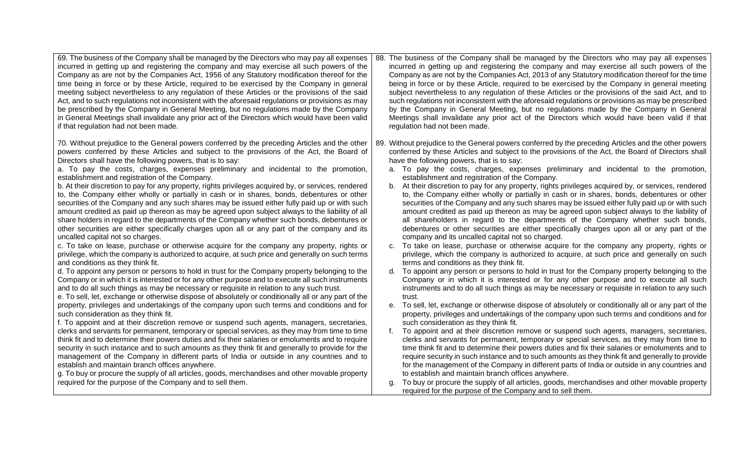| 69. The business of the Company shall be managed by the Directors who may pay all expenses<br>incurred in getting up and registering the company and may exercise all such powers of the<br>Company as are not by the Companies Act, 1956 of any Statutory modification thereof for the<br>time being in force or by these Article, required to be exercised by the Company in general<br>meeting subject nevertheless to any regulation of these Articles or the provisions of the said<br>Act, and to such regulations not inconsistent with the aforesaid regulations or provisions as may<br>be prescribed by the Company in General Meeting, but no regulations made by the Company<br>in General Meetings shall invalidate any prior act of the Directors which would have been valid<br>if that regulation had not been made.                                                                                                                                                                                                                                                                                                                                                                                                                                                                                                                                                                                                                                                                                                                                                                                                                                                                                                                                                                                                                                                                                                                                                                                                                                                                                                                                                                                                                                                                                                                                                                                                                                                                     | 88. The business of the Company shall be managed by the Directors who may pay all expenses<br>incurred in getting up and registering the company and may exercise all such powers of the<br>Company as are not by the Companies Act, 2013 of any Statutory modification thereof for the time<br>being in force or by these Article, required to be exercised by the Company in general meeting<br>subject nevertheless to any regulation of these Articles or the provisions of the said Act, and to<br>such regulations not inconsistent with the aforesaid regulations or provisions as may be prescribed<br>by the Company in General Meeting, but no regulations made by the Company in General<br>Meetings shall invalidate any prior act of the Directors which would have been valid if that<br>regulation had not been made.                                                                                                                                                                                                                                                                                                                                                                                                                                                                                                                                                                                                                                                                                                                                                                                                                                                                                                                                                                                                                                                                                                                                                                                                                                                                                                                                                                                                                                                                                                                                                                          |
|----------------------------------------------------------------------------------------------------------------------------------------------------------------------------------------------------------------------------------------------------------------------------------------------------------------------------------------------------------------------------------------------------------------------------------------------------------------------------------------------------------------------------------------------------------------------------------------------------------------------------------------------------------------------------------------------------------------------------------------------------------------------------------------------------------------------------------------------------------------------------------------------------------------------------------------------------------------------------------------------------------------------------------------------------------------------------------------------------------------------------------------------------------------------------------------------------------------------------------------------------------------------------------------------------------------------------------------------------------------------------------------------------------------------------------------------------------------------------------------------------------------------------------------------------------------------------------------------------------------------------------------------------------------------------------------------------------------------------------------------------------------------------------------------------------------------------------------------------------------------------------------------------------------------------------------------------------------------------------------------------------------------------------------------------------------------------------------------------------------------------------------------------------------------------------------------------------------------------------------------------------------------------------------------------------------------------------------------------------------------------------------------------------------------------------------------------------------------------------------------------------|---------------------------------------------------------------------------------------------------------------------------------------------------------------------------------------------------------------------------------------------------------------------------------------------------------------------------------------------------------------------------------------------------------------------------------------------------------------------------------------------------------------------------------------------------------------------------------------------------------------------------------------------------------------------------------------------------------------------------------------------------------------------------------------------------------------------------------------------------------------------------------------------------------------------------------------------------------------------------------------------------------------------------------------------------------------------------------------------------------------------------------------------------------------------------------------------------------------------------------------------------------------------------------------------------------------------------------------------------------------------------------------------------------------------------------------------------------------------------------------------------------------------------------------------------------------------------------------------------------------------------------------------------------------------------------------------------------------------------------------------------------------------------------------------------------------------------------------------------------------------------------------------------------------------------------------------------------------------------------------------------------------------------------------------------------------------------------------------------------------------------------------------------------------------------------------------------------------------------------------------------------------------------------------------------------------------------------------------------------------------------------------------------------------|
| 70. Without prejudice to the General powers conferred by the preceding Articles and the other<br>powers conferred by these Articles and subject to the provisions of the Act, the Board of<br>Directors shall have the following powers, that is to say:<br>a. To pay the costs, charges, expenses preliminary and incidental to the promotion,<br>establishment and registration of the Company.<br>b. At their discretion to pay for any property, rights privileges acquired by, or services, rendered<br>to, the Company either wholly or partially in cash or in shares, bonds, debentures or other<br>securities of the Company and any such shares may be issued either fully paid up or with such<br>amount credited as paid up thereon as may be agreed upon subject always to the liability of all<br>share holders in regard to the departments of the Company whether such bonds, debentures or<br>other securities are either specifically charges upon all or any part of the company and its<br>uncalled capital not so charges.<br>c. To take on lease, purchase or otherwise acquire for the company any property, rights or<br>privilege, which the company is authorized to acquire, at such price and generally on such terms<br>and conditions as they think fit.<br>d. To appoint any person or persons to hold in trust for the Company property belonging to the<br>Company or in which it is interested or for any other purpose and to execute all such instruments<br>and to do all such things as may be necessary or requisite in relation to any such trust.<br>e. To sell, let, exchange or otherwise dispose of absolutely or conditionally all or any part of the<br>property, privileges and undertakings of the company upon such terms and conditions and for<br>such consideration as they think fit.<br>f. To appoint and at their discretion remove or suspend such agents, managers, secretaries,<br>clerks and servants for permanent, temporary or special services, as they may from time to time<br>think fit and to determine their powers duties and fix their salaries or emoluments and to require<br>security in such instance and to such amounts as they think fit and generally to provide for the<br>management of the Company in different parts of India or outside in any countries and to<br>establish and maintain branch offices anywhere.<br>g. To buy or procure the supply of all articles, goods, merchandises and other movable property | 89. Without prejudice to the General powers conferred by the preceding Articles and the other powers<br>conferred by these Articles and subject to the provisions of the Act, the Board of Directors shall<br>have the following powers, that is to say:<br>a. To pay the costs, charges, expenses preliminary and incidental to the promotion,<br>establishment and registration of the Company.<br>b. At their discretion to pay for any property, rights privileges acquired by, or services, rendered<br>to, the Company either wholly or partially in cash or in shares, bonds, debentures or other<br>securities of the Company and any such shares may be issued either fully paid up or with such<br>amount credited as paid up thereon as may be agreed upon subject always to the liability of<br>all shareholders in regard to the departments of the Company whether such bonds,<br>debentures or other securities are either specifically charges upon all or any part of the<br>company and its uncalled capital not so charged.<br>c. To take on lease, purchase or otherwise acquire for the company any property, rights or<br>privilege, which the company is authorized to acquire, at such price and generally on such<br>terms and conditions as they think fit.<br>To appoint any person or persons to hold in trust for the Company property belonging to the<br>d.<br>Company or in which it is interested or for any other purpose and to execute all such<br>instruments and to do all such things as may be necessary or requisite in relation to any such<br>trust.<br>e. To sell, let, exchange or otherwise dispose of absolutely or conditionally all or any part of the<br>property, privileges and undertakings of the company upon such terms and conditions and for<br>such consideration as they think fit.<br>To appoint and at their discretion remove or suspend such agents, managers, secretaries,<br>f.<br>clerks and servants for permanent, temporary or special services, as they may from time to<br>time think fit and to determine their powers duties and fix their salaries or emoluments and to<br>require security in such instance and to such amounts as they think fit and generally to provide<br>for the management of the Company in different parts of India or outside in any countries and<br>to establish and maintain branch offices anywhere. |
| required for the purpose of the Company and to sell them.                                                                                                                                                                                                                                                                                                                                                                                                                                                                                                                                                                                                                                                                                                                                                                                                                                                                                                                                                                                                                                                                                                                                                                                                                                                                                                                                                                                                                                                                                                                                                                                                                                                                                                                                                                                                                                                                                                                                                                                                                                                                                                                                                                                                                                                                                                                                                                                                                                                | To buy or procure the supply of all articles, goods, merchandises and other movable property<br>q.<br>required for the purpose of the Company and to sell them.                                                                                                                                                                                                                                                                                                                                                                                                                                                                                                                                                                                                                                                                                                                                                                                                                                                                                                                                                                                                                                                                                                                                                                                                                                                                                                                                                                                                                                                                                                                                                                                                                                                                                                                                                                                                                                                                                                                                                                                                                                                                                                                                                                                                                                               |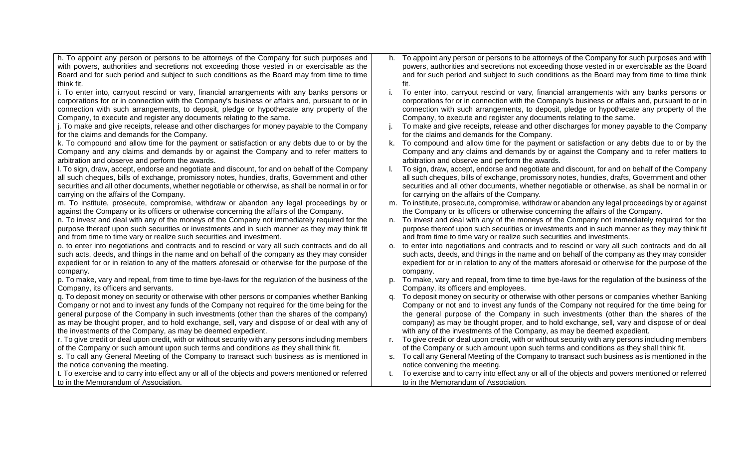| h. To appoint any person or persons to be attorneys of the Company for such purposes and           | h.             | To appoint any person or persons to be attorneys of the Company for such purposes and with       |
|----------------------------------------------------------------------------------------------------|----------------|--------------------------------------------------------------------------------------------------|
| with powers, authorities and secretions not exceeding those vested in or exercisable as the        |                | powers, authorities and secretions not exceeding those vested in or exercisable as the Board     |
| Board and for such period and subject to such conditions as the Board may from time to time        |                | and for such period and subject to such conditions as the Board may from time to time think      |
| think fit.                                                                                         |                | fit.                                                                                             |
| i. To enter into, carryout rescind or vary, financial arrangements with any banks persons or       |                | To enter into, carryout rescind or vary, financial arrangements with any banks persons or        |
| corporations for or in connection with the Company's business or affairs and, pursuant to or in    |                | corporations for or in connection with the Company's business or affairs and, pursuant to or in  |
| connection with such arrangements, to deposit, pledge or hypothecate any property of the           |                | connection with such arrangements, to deposit, pledge or hypothecate any property of the         |
| Company, to execute and register any documents relating to the same.                               |                | Company, to execute and register any documents relating to the same.                             |
| j. To make and give receipts, release and other discharges for money payable to the Company        | Τ.             | To make and give receipts, release and other discharges for money payable to the Company         |
| for the claims and demands for the Company.                                                        |                | for the claims and demands for the Company.                                                      |
| k. To compound and allow time for the payment or satisfaction or any debts due to or by the        | k.             | To compound and allow time for the payment or satisfaction or any debts due to or by the         |
| Company and any claims and demands by or against the Company and to refer matters to               |                | Company and any claims and demands by or against the Company and to refer matters to             |
| arbitration and observe and perform the awards.                                                    |                | arbitration and observe and perform the awards.                                                  |
| I. To sign, draw, accept, endorse and negotiate and discount, for and on behalf of the Company     |                | To sign, draw, accept, endorse and negotiate and discount, for and on behalf of the Company      |
| all such cheques, bills of exchange, promissory notes, hundies, drafts, Government and other       |                | all such cheques, bills of exchange, promissory notes, hundies, drafts, Government and other     |
| securities and all other documents, whether negotiable or otherwise, as shall be normal in or for  |                | securities and all other documents, whether negotiable or otherwise, as shall be normal in or    |
| carrying on the affairs of the Company.                                                            |                | for carrying on the affairs of the Company.                                                      |
| m. To institute, prosecute, compromise, withdraw or abandon any legal proceedings by or            |                | m. To institute, prosecute, compromise, withdraw or abandon any legal proceedings by or against  |
| against the Company or its officers or otherwise concerning the affairs of the Company.            |                | the Company or its officers or otherwise concerning the affairs of the Company.                  |
| n. To invest and deal with any of the moneys of the Company not immediately required for the       |                | n. To invest and deal with any of the moneys of the Company not immediately required for the     |
| purpose thereof upon such securities or investments and in such manner as they may think fit       |                | purpose thereof upon such securities or investments and in such manner as they may think fit     |
| and from time to time vary or realize such securities and investment.                              |                | and from time to time vary or realize such securities and investments.                           |
| o. to enter into negotiations and contracts and to rescind or vary all such contracts and do all   | O <sub>r</sub> | to enter into negotiations and contracts and to rescind or vary all such contracts and do all    |
| such acts, deeds, and things in the name and on behalf of the company as they may consider         |                | such acts, deeds, and things in the name and on behalf of the company as they may consider       |
| expedient for or in relation to any of the matters aforesaid or otherwise for the purpose of the   |                | expedient for or in relation to any of the matters aforesaid or otherwise for the purpose of the |
| company.                                                                                           |                | company.                                                                                         |
| p. To make, vary and repeal, from time to time bye-laws for the regulation of the business of the  | p.             | To make, vary and repeal, from time to time bye-laws for the regulation of the business of the   |
| Company, its officers and servants.                                                                |                | Company, its officers and employees.                                                             |
| q. To deposit money on security or otherwise with other persons or companies whether Banking       | q.             | To deposit money on security or otherwise with other persons or companies whether Banking        |
| Company or not and to invest any funds of the Company not required for the time being for the      |                | Company or not and to invest any funds of the Company not required for the time being for        |
| general purpose of the Company in such investments (other than the shares of the company)          |                | the general purpose of the Company in such investments (other than the shares of the             |
| as may be thought proper, and to hold exchange, sell, vary and dispose of or deal with any of      |                | company) as may be thought proper, and to hold exchange, sell, vary and dispose of or deal       |
| the investments of the Company, as may be deemed expedient.                                        |                | with any of the investments of the Company, as may be deemed expedient.                          |
| r. To give credit or deal upon credit, with or without security with any persons including members | r.             | To give credit or deal upon credit, with or without security with any persons including members  |
| of the Company or such amount upon such terms and conditions as they shall think fit.              |                | of the Company or such amount upon such terms and conditions as they shall think fit.            |
| s. To call any General Meeting of the Company to transact such business as is mentioned in         |                | s. To call any General Meeting of the Company to transact such business as is mentioned in the   |
| the notice convening the meeting.                                                                  |                | notice convening the meeting.                                                                    |
| t. To exercise and to carry into effect any or all of the objects and powers mentioned or referred |                | To exercise and to carry into effect any or all of the objects and powers mentioned or referred  |
| to in the Memorandum of Association.                                                               |                | to in the Memorandum of Association.                                                             |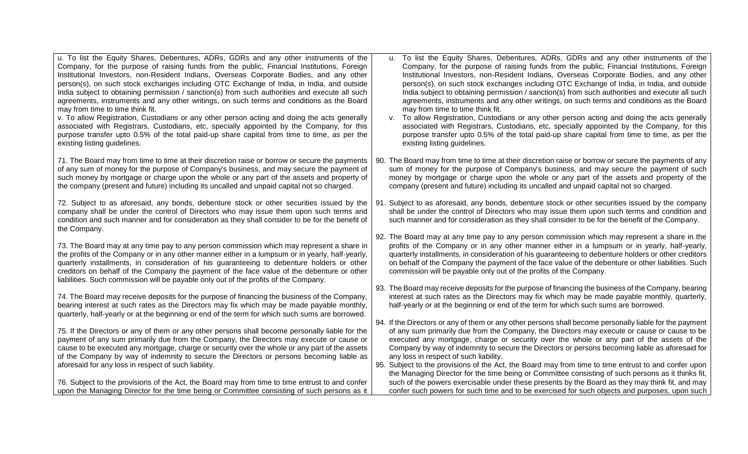| u. To list the Equity Shares, Debentures, ADRs, GDRs and any other instruments of the                                                                                                                                                                                                                                                                                                                                                             | u. To list the Equity Shares, Debentures, ADRs, GDRs and any other instruments of the                                                                                                                                                                                                                                                                                                                                                                                                                                                                                                                                                                           |
|---------------------------------------------------------------------------------------------------------------------------------------------------------------------------------------------------------------------------------------------------------------------------------------------------------------------------------------------------------------------------------------------------------------------------------------------------|-----------------------------------------------------------------------------------------------------------------------------------------------------------------------------------------------------------------------------------------------------------------------------------------------------------------------------------------------------------------------------------------------------------------------------------------------------------------------------------------------------------------------------------------------------------------------------------------------------------------------------------------------------------------|
| Company, for the purpose of raising funds from the public, Financial Institutions, Foreign                                                                                                                                                                                                                                                                                                                                                        | Company, for the purpose of raising funds from the public, Financial Institutions, Foreign                                                                                                                                                                                                                                                                                                                                                                                                                                                                                                                                                                      |
| Institutional Investors, non-Resident Indians, Overseas Corporate Bodies, and any other                                                                                                                                                                                                                                                                                                                                                           | Institutional Investors, non-Resident Indians, Overseas Corporate Bodies, and any other                                                                                                                                                                                                                                                                                                                                                                                                                                                                                                                                                                         |
| person(s), on such stock exchanges including OTC Exchange of India, in India, and outside                                                                                                                                                                                                                                                                                                                                                         | person(s), on such stock exchanges including OTC Exchange of India, in India, and outside                                                                                                                                                                                                                                                                                                                                                                                                                                                                                                                                                                       |
| India subject to obtaining permission / sanction(s) from such authorities and execute all such                                                                                                                                                                                                                                                                                                                                                    | India subject to obtaining permission / sanction(s) from such authorities and execute all such                                                                                                                                                                                                                                                                                                                                                                                                                                                                                                                                                                  |
| agreements, instruments and any other writings, on such terms and conditions as the Board                                                                                                                                                                                                                                                                                                                                                         | agreements, instruments and any other writings, on such terms and conditions as the Board                                                                                                                                                                                                                                                                                                                                                                                                                                                                                                                                                                       |
| may from time to time think fit.                                                                                                                                                                                                                                                                                                                                                                                                                  | may from time to time think fit.                                                                                                                                                                                                                                                                                                                                                                                                                                                                                                                                                                                                                                |
| v. To allow Registration, Custodians or any other person acting and doing the acts generally                                                                                                                                                                                                                                                                                                                                                      | v. To allow Registration, Custodians or any other person acting and doing the acts generally                                                                                                                                                                                                                                                                                                                                                                                                                                                                                                                                                                    |
| associated with Registrars, Custodians, etc, specially appointed by the Company, for this                                                                                                                                                                                                                                                                                                                                                         | associated with Registrars, Custodians, etc, specially appointed by the Company, for this                                                                                                                                                                                                                                                                                                                                                                                                                                                                                                                                                                       |
| purpose transfer upto 0.5% of the total paid-up share capital from time to time, as per the                                                                                                                                                                                                                                                                                                                                                       | purpose transfer upto 0.5% of the total paid-up share capital from time to time, as per the                                                                                                                                                                                                                                                                                                                                                                                                                                                                                                                                                                     |
| existing listing guidelines.                                                                                                                                                                                                                                                                                                                                                                                                                      | existing listing guidelines.                                                                                                                                                                                                                                                                                                                                                                                                                                                                                                                                                                                                                                    |
| 71. The Board may from time to time at their discretion raise or borrow or secure the payments                                                                                                                                                                                                                                                                                                                                                    | 90. The Board may from time to time at their discretion raise or borrow or secure the payments of any                                                                                                                                                                                                                                                                                                                                                                                                                                                                                                                                                           |
| of any sum of money for the purpose of Company's business, and may secure the payment of                                                                                                                                                                                                                                                                                                                                                          | sum of money for the purpose of Company's business, and may secure the payment of such                                                                                                                                                                                                                                                                                                                                                                                                                                                                                                                                                                          |
| such money by mortgage or charge upon the whole or any part of the assets and property of                                                                                                                                                                                                                                                                                                                                                         | money by mortgage or charge upon the whole or any part of the assets and property of the                                                                                                                                                                                                                                                                                                                                                                                                                                                                                                                                                                        |
| the company (present and future) including its uncalled and unpaid capital not so charged.                                                                                                                                                                                                                                                                                                                                                        | company (present and future) including its uncalled and unpaid capital not so charged.                                                                                                                                                                                                                                                                                                                                                                                                                                                                                                                                                                          |
| 72. Subject to as aforesaid, any bonds, debenture stock or other securities issued by the<br>company shall be under the control of Directors who may issue them upon such terms and<br>condition and such manner and for consideration as they shall consider to be for the benefit of<br>the Company.                                                                                                                                            | 91. Subject to as aforesaid, any bonds, debenture stock or other securities issued by the company<br>shall be under the control of Directors who may issue them upon such terms and condition and<br>such manner and for consideration as they shall consider to be for the benefit of the Company.                                                                                                                                                                                                                                                                                                                                                             |
| 73. The Board may at any time pay to any person commission which may represent a share in                                                                                                                                                                                                                                                                                                                                                         | 92. The Board may at any time pay to any person commission which may represent a share in the                                                                                                                                                                                                                                                                                                                                                                                                                                                                                                                                                                   |
| the profits of the Company or in any other manner either in a lumpsum or in yearly, half-yearly,                                                                                                                                                                                                                                                                                                                                                  | profits of the Company or in any other manner either in a lumpsum or in yearly, half-yearly,                                                                                                                                                                                                                                                                                                                                                                                                                                                                                                                                                                    |
| quarterly installments, in consideration of his guaranteeing to debenture holders or other                                                                                                                                                                                                                                                                                                                                                        | quarterly installments, in consideration of his guaranteeing to debenture holders or other creditors                                                                                                                                                                                                                                                                                                                                                                                                                                                                                                                                                            |
| creditors on behalf of the Company the payment of the face value of the debenture or other                                                                                                                                                                                                                                                                                                                                                        | on behalf of the Company the payment of the face value of the debenture or other liabilities. Such                                                                                                                                                                                                                                                                                                                                                                                                                                                                                                                                                              |
| liabilities. Such commission will be payable only out of the profits of the Company.                                                                                                                                                                                                                                                                                                                                                              | commission will be payable only out of the profits of the Company.                                                                                                                                                                                                                                                                                                                                                                                                                                                                                                                                                                                              |
| 74. The Board may receive deposits for the purpose of financing the business of the Company,                                                                                                                                                                                                                                                                                                                                                      | 93. The Board may receive deposits for the purpose of financing the business of the Company, bearing                                                                                                                                                                                                                                                                                                                                                                                                                                                                                                                                                            |
| bearing interest at such rates as the Directors may fix which may be made payable monthly,                                                                                                                                                                                                                                                                                                                                                        | interest at such rates as the Directors may fix which may be made payable monthly, quarterly,                                                                                                                                                                                                                                                                                                                                                                                                                                                                                                                                                                   |
| quarterly, half-yearly or at the beginning or end of the term for which such sums are borrowed.                                                                                                                                                                                                                                                                                                                                                   | half-yearly or at the beginning or end of the term for which such sums are borrowed.                                                                                                                                                                                                                                                                                                                                                                                                                                                                                                                                                                            |
| 75. If the Directors or any of them or any other persons shall become personally liable for the<br>payment of any sum primarily due from the Company, the Directors may execute or cause or<br>cause to be executed any mortgage, charge or security over the whole or any part of the assets<br>of the Company by way of indemnity to secure the Directors or persons becoming liable as<br>aforesaid for any loss in respect of such liability. | 94. If the Directors or any of them or any other persons shall become personally liable for the payment<br>of any sum primarily due from the Company, the Directors may execute or cause or cause to be<br>executed any mortgage, charge or security over the whole or any part of the assets of the<br>Company by way of indemnity to secure the Directors or persons becoming liable as aforesaid for<br>any loss in respect of such liability.<br>95. Subject to the provisions of the Act, the Board may from time to time entrust to and confer upon<br>the Managing Director for the time being or Committee consisting of such persons as it thinks fit, |
| 76. Subject to the provisions of the Act, the Board may from time to time entrust to and confer                                                                                                                                                                                                                                                                                                                                                   | such of the powers exercisable under these presents by the Board as they may think fit, and may                                                                                                                                                                                                                                                                                                                                                                                                                                                                                                                                                                 |
| upon the Managing Director for the time being or Committee consisting of such persons as it                                                                                                                                                                                                                                                                                                                                                       | confer such powers for such time and to be exercised for such objects and purposes, upon such                                                                                                                                                                                                                                                                                                                                                                                                                                                                                                                                                                   |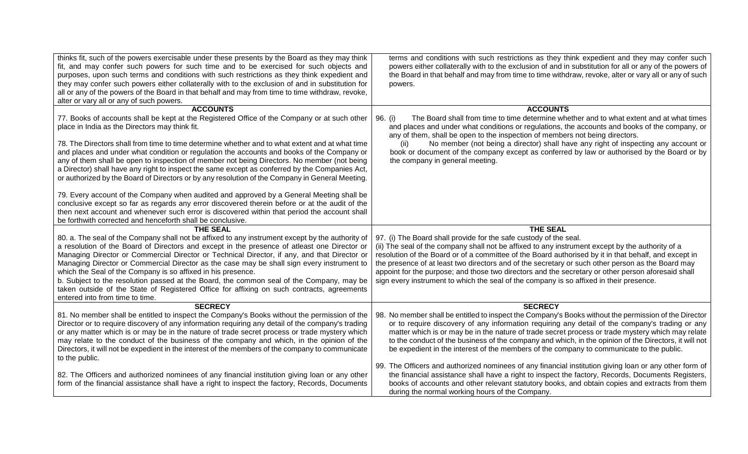| thinks fit, such of the powers exercisable under these presents by the Board as they may think<br>fit, and may confer such powers for such time and to be exercised for such objects and<br>purposes, upon such terms and conditions with such restrictions as they think expedient and<br>they may confer such powers either collaterally with to the exclusion of and in substitution for<br>all or any of the powers of the Board in that behalf and may from time to time withdraw, revoke,<br>alter or vary all or any of such powers. | terms and conditions with such restrictions as they think expedient and they may confer such<br>powers either collaterally with to the exclusion of and in substitution for all or any of the powers of<br>the Board in that behalf and may from time to time withdraw, revoke, alter or vary all or any of such<br>powers.                                                                                                                                                                                        |
|---------------------------------------------------------------------------------------------------------------------------------------------------------------------------------------------------------------------------------------------------------------------------------------------------------------------------------------------------------------------------------------------------------------------------------------------------------------------------------------------------------------------------------------------|--------------------------------------------------------------------------------------------------------------------------------------------------------------------------------------------------------------------------------------------------------------------------------------------------------------------------------------------------------------------------------------------------------------------------------------------------------------------------------------------------------------------|
| <b>ACCOUNTS</b>                                                                                                                                                                                                                                                                                                                                                                                                                                                                                                                             | <b>ACCOUNTS</b>                                                                                                                                                                                                                                                                                                                                                                                                                                                                                                    |
| 77. Books of accounts shall be kept at the Registered Office of the Company or at such other<br>place in India as the Directors may think fit.                                                                                                                                                                                                                                                                                                                                                                                              | The Board shall from time to time determine whether and to what extent and at what times<br>96. (i)<br>and places and under what conditions or regulations, the accounts and books of the company, or<br>any of them, shall be open to the inspection of members not being directors.                                                                                                                                                                                                                              |
| 78. The Directors shall from time to time determine whether and to what extent and at what time<br>and places and under what condition or regulation the accounts and books of the Company or<br>any of them shall be open to inspection of member not being Directors. No member (not being<br>a Director) shall have any right to inspect the same except as conferred by the Companies Act,<br>or authorized by the Board of Directors or by any resolution of the Company in General Meeting.                                           | No member (not being a director) shall have any right of inspecting any account or<br>(ii)<br>book or document of the company except as conferred by law or authorised by the Board or by<br>the company in general meeting.                                                                                                                                                                                                                                                                                       |
| 79. Every account of the Company when audited and approved by a General Meeting shall be<br>conclusive except so far as regards any error discovered therein before or at the audit of the<br>then next account and whenever such error is discovered within that period the account shall<br>be forthwith corrected and henceforth shall be conclusive.                                                                                                                                                                                    |                                                                                                                                                                                                                                                                                                                                                                                                                                                                                                                    |
| <b>THE SEAL</b>                                                                                                                                                                                                                                                                                                                                                                                                                                                                                                                             | <b>THE SEAL</b>                                                                                                                                                                                                                                                                                                                                                                                                                                                                                                    |
| 80. a. The seal of the Company shall not be affixed to any instrument except by the authority of<br>a resolution of the Board of Directors and except in the presence of atleast one Director or<br>Managing Director or Commercial Director or Technical Director, if any, and that Director or<br>Managing Director or Commercial Director as the case may be shall sign every instrument to                                                                                                                                              | 97. (i) The Board shall provide for the safe custody of the seal.<br>(ii) The seal of the company shall not be affixed to any instrument except by the authority of a<br>resolution of the Board or of a committee of the Board authorised by it in that behalf, and except in<br>the presence of at least two directors and of the secretary or such other person as the Board may                                                                                                                                |
| which the Seal of the Company is so affixed in his presence.<br>b. Subject to the resolution passed at the Board, the common seal of the Company, may be<br>taken outside of the State of Registered Office for affixing on such contracts, agreements<br>entered into from time to time.                                                                                                                                                                                                                                                   | appoint for the purpose; and those two directors and the secretary or other person aforesaid shall<br>sign every instrument to which the seal of the company is so affixed in their presence.                                                                                                                                                                                                                                                                                                                      |
| <b>SECRECY</b>                                                                                                                                                                                                                                                                                                                                                                                                                                                                                                                              | <b>SECRECY</b>                                                                                                                                                                                                                                                                                                                                                                                                                                                                                                     |
| 81. No member shall be entitled to inspect the Company's Books without the permission of the<br>Director or to require discovery of any information requiring any detail of the company's trading<br>or any matter which is or may be in the nature of trade secret process or trade mystery which<br>may relate to the conduct of the business of the company and which, in the opinion of the<br>Directors, it will not be expedient in the interest of the members of the company to communicate<br>to the public.                       | 98. No member shall be entitled to inspect the Company's Books without the permission of the Director<br>or to require discovery of any information requiring any detail of the company's trading or any<br>matter which is or may be in the nature of trade secret process or trade mystery which may relate<br>to the conduct of the business of the company and which, in the opinion of the Directors, it will not<br>be expedient in the interest of the members of the company to communicate to the public. |
| 82. The Officers and authorized nominees of any financial institution giving loan or any other<br>form of the financial assistance shall have a right to inspect the factory, Records, Documents                                                                                                                                                                                                                                                                                                                                            | 99. The Officers and authorized nominees of any financial institution giving loan or any other form of<br>the financial assistance shall have a right to inspect the factory, Records, Documents Registers,                                                                                                                                                                                                                                                                                                        |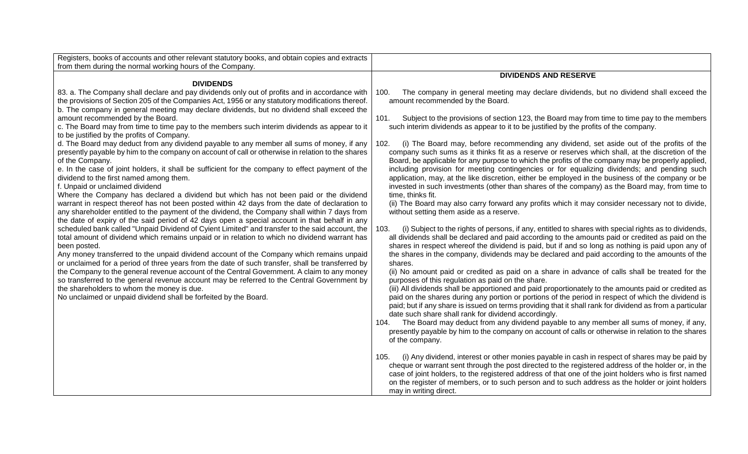| Registers, books of accounts and other relevant statutory books, and obtain copies and extracts                                                                                                                                                                                                                                                                                                                                                                                                                                                                                                                                                                                                                                                                                                                                 |                                                                                                                                                                                                                                                                                                                                                                                                                                                                                                                                                                                                                                                                                                                                                                                                                                                                                                                                                                                                                                                                                                                                                                                                            |
|---------------------------------------------------------------------------------------------------------------------------------------------------------------------------------------------------------------------------------------------------------------------------------------------------------------------------------------------------------------------------------------------------------------------------------------------------------------------------------------------------------------------------------------------------------------------------------------------------------------------------------------------------------------------------------------------------------------------------------------------------------------------------------------------------------------------------------|------------------------------------------------------------------------------------------------------------------------------------------------------------------------------------------------------------------------------------------------------------------------------------------------------------------------------------------------------------------------------------------------------------------------------------------------------------------------------------------------------------------------------------------------------------------------------------------------------------------------------------------------------------------------------------------------------------------------------------------------------------------------------------------------------------------------------------------------------------------------------------------------------------------------------------------------------------------------------------------------------------------------------------------------------------------------------------------------------------------------------------------------------------------------------------------------------------|
| from them during the normal working hours of the Company.                                                                                                                                                                                                                                                                                                                                                                                                                                                                                                                                                                                                                                                                                                                                                                       |                                                                                                                                                                                                                                                                                                                                                                                                                                                                                                                                                                                                                                                                                                                                                                                                                                                                                                                                                                                                                                                                                                                                                                                                            |
| <b>DIVIDENDS</b>                                                                                                                                                                                                                                                                                                                                                                                                                                                                                                                                                                                                                                                                                                                                                                                                                | <b>DIVIDENDS AND RESERVE</b>                                                                                                                                                                                                                                                                                                                                                                                                                                                                                                                                                                                                                                                                                                                                                                                                                                                                                                                                                                                                                                                                                                                                                                               |
| 83. a. The Company shall declare and pay dividends only out of profits and in accordance with<br>the provisions of Section 205 of the Companies Act, 1956 or any statutory modifications thereof.<br>b. The company in general meeting may declare dividends, but no dividend shall exceed the<br>amount recommended by the Board.                                                                                                                                                                                                                                                                                                                                                                                                                                                                                              | The company in general meeting may declare dividends, but no dividend shall exceed the<br>100.<br>amount recommended by the Board.<br>101.<br>Subject to the provisions of section 123, the Board may from time to time pay to the members                                                                                                                                                                                                                                                                                                                                                                                                                                                                                                                                                                                                                                                                                                                                                                                                                                                                                                                                                                 |
| c. The Board may from time to time pay to the members such interim dividends as appear to it<br>to be justified by the profits of Company.                                                                                                                                                                                                                                                                                                                                                                                                                                                                                                                                                                                                                                                                                      | such interim dividends as appear to it to be justified by the profits of the company.                                                                                                                                                                                                                                                                                                                                                                                                                                                                                                                                                                                                                                                                                                                                                                                                                                                                                                                                                                                                                                                                                                                      |
| d. The Board may deduct from any dividend payable to any member all sums of money, if any<br>presently payable by him to the company on account of call or otherwise in relation to the shares<br>of the Company.<br>e. In the case of joint holders, it shall be sufficient for the company to effect payment of the<br>dividend to the first named among them.<br>f. Unpaid or unclaimed dividend<br>Where the Company has declared a dividend but which has not been paid or the dividend<br>warrant in respect thereof has not been posted within 42 days from the date of declaration to<br>any shareholder entitled to the payment of the dividend, the Company shall within 7 days from                                                                                                                                  | (i) The Board may, before recommending any dividend, set aside out of the profits of the<br>102.<br>company such sums as it thinks fit as a reserve or reserves which shall, at the discretion of the<br>Board, be applicable for any purpose to which the profits of the company may be properly applied,<br>including provision for meeting contingencies or for equalizing dividends; and pending such<br>application, may, at the like discretion, either be employed in the business of the company or be<br>invested in such investments (other than shares of the company) as the Board may, from time to<br>time, thinks fit.<br>(ii) The Board may also carry forward any profits which it may consider necessary not to divide,<br>without setting them aside as a reserve.                                                                                                                                                                                                                                                                                                                                                                                                                      |
| the date of expiry of the said period of 42 days open a special account in that behalf in any<br>scheduled bank called "Unpaid Dividend of Cyient Limited" and transfer to the said account, the<br>total amount of dividend which remains unpaid or in relation to which no dividend warrant has<br>been posted.<br>Any money transferred to the unpaid dividend account of the Company which remains unpaid<br>or unclaimed for a period of three years from the date of such transfer, shall be transferred by<br>the Company to the general revenue account of the Central Government. A claim to any money<br>so transferred to the general revenue account may be referred to the Central Government by<br>the shareholders to whom the money is due.<br>No unclaimed or unpaid dividend shall be forfeited by the Board. | 103.<br>(i) Subject to the rights of persons, if any, entitled to shares with special rights as to dividends,<br>all dividends shall be declared and paid according to the amounts paid or credited as paid on the<br>shares in respect whereof the dividend is paid, but if and so long as nothing is paid upon any of<br>the shares in the company, dividends may be declared and paid according to the amounts of the<br>shares.<br>(ii) No amount paid or credited as paid on a share in advance of calls shall be treated for the<br>purposes of this regulation as paid on the share.<br>(iii) All dividends shall be apportioned and paid proportionately to the amounts paid or credited as<br>paid on the shares during any portion or portions of the period in respect of which the dividend is<br>paid; but if any share is issued on terms providing that it shall rank for dividend as from a particular<br>date such share shall rank for dividend accordingly.<br>The Board may deduct from any dividend payable to any member all sums of money, if any,<br>104.<br>presently payable by him to the company on account of calls or otherwise in relation to the shares<br>of the company. |
|                                                                                                                                                                                                                                                                                                                                                                                                                                                                                                                                                                                                                                                                                                                                                                                                                                 | (i) Any dividend, interest or other monies payable in cash in respect of shares may be paid by<br>105.<br>cheque or warrant sent through the post directed to the registered address of the holder or, in the<br>case of joint holders, to the registered address of that one of the joint holders who is first named<br>on the register of members, or to such person and to such address as the holder or joint holders<br>may in writing direct.                                                                                                                                                                                                                                                                                                                                                                                                                                                                                                                                                                                                                                                                                                                                                        |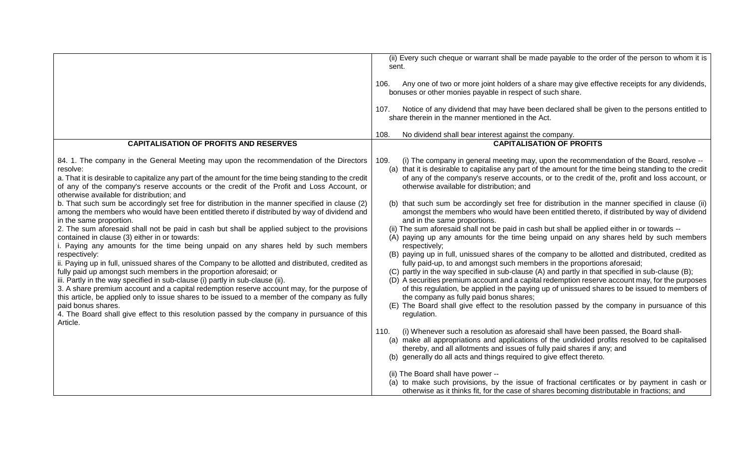|                                                                                                                                                                                                                                                                                                                                                                                                                                                                                                                                                                                                                                                                                                                                                                                                                                                                                                                                                                     | (ii) Every such cheque or warrant shall be made payable to the order of the person to whom it is<br>sent.<br>Any one of two or more joint holders of a share may give effective receipts for any dividends,<br>106.<br>bonuses or other monies payable in respect of such share.                                                                                                                                                                                                                                                                                                                                                                                                                                                                                                                                                                                                                                                                                                            |
|---------------------------------------------------------------------------------------------------------------------------------------------------------------------------------------------------------------------------------------------------------------------------------------------------------------------------------------------------------------------------------------------------------------------------------------------------------------------------------------------------------------------------------------------------------------------------------------------------------------------------------------------------------------------------------------------------------------------------------------------------------------------------------------------------------------------------------------------------------------------------------------------------------------------------------------------------------------------|---------------------------------------------------------------------------------------------------------------------------------------------------------------------------------------------------------------------------------------------------------------------------------------------------------------------------------------------------------------------------------------------------------------------------------------------------------------------------------------------------------------------------------------------------------------------------------------------------------------------------------------------------------------------------------------------------------------------------------------------------------------------------------------------------------------------------------------------------------------------------------------------------------------------------------------------------------------------------------------------|
|                                                                                                                                                                                                                                                                                                                                                                                                                                                                                                                                                                                                                                                                                                                                                                                                                                                                                                                                                                     | Notice of any dividend that may have been declared shall be given to the persons entitled to<br>107.<br>share therein in the manner mentioned in the Act.                                                                                                                                                                                                                                                                                                                                                                                                                                                                                                                                                                                                                                                                                                                                                                                                                                   |
|                                                                                                                                                                                                                                                                                                                                                                                                                                                                                                                                                                                                                                                                                                                                                                                                                                                                                                                                                                     | No dividend shall bear interest against the company.<br>108.                                                                                                                                                                                                                                                                                                                                                                                                                                                                                                                                                                                                                                                                                                                                                                                                                                                                                                                                |
| <b>CAPITALISATION OF PROFITS AND RESERVES</b>                                                                                                                                                                                                                                                                                                                                                                                                                                                                                                                                                                                                                                                                                                                                                                                                                                                                                                                       | <b>CAPITALISATION OF PROFITS</b>                                                                                                                                                                                                                                                                                                                                                                                                                                                                                                                                                                                                                                                                                                                                                                                                                                                                                                                                                            |
| 84. 1. The company in the General Meeting may upon the recommendation of the Directors<br>resolve:<br>a. That it is desirable to capitalize any part of the amount for the time being standing to the credit<br>of any of the company's reserve accounts or the credit of the Profit and Loss Account, or<br>otherwise available for distribution; and<br>b. That such sum be accordingly set free for distribution in the manner specified in clause (2)                                                                                                                                                                                                                                                                                                                                                                                                                                                                                                           | (i) The company in general meeting may, upon the recommendation of the Board, resolve --<br>109.<br>(a) that it is desirable to capitalise any part of the amount for the time being standing to the credit<br>of any of the company's reserve accounts, or to the credit of the, profit and loss account, or<br>otherwise available for distribution; and<br>(b) that such sum be accordingly set free for distribution in the manner specified in clause (ii)                                                                                                                                                                                                                                                                                                                                                                                                                                                                                                                             |
| among the members who would have been entitled thereto if distributed by way of dividend and<br>in the same proportion.<br>2. The sum aforesaid shall not be paid in cash but shall be applied subject to the provisions<br>contained in clause (3) either in or towards:<br>i. Paying any amounts for the time being unpaid on any shares held by such members<br>respectively:<br>ii. Paying up in full, unissued shares of the Company to be allotted and distributed, credited as<br>fully paid up amongst such members in the proportion aforesaid; or<br>iii. Partly in the way specified in sub-clause (i) partly in sub-clause (ii).<br>3. A share premium account and a capital redemption reserve account may, for the purpose of<br>this article, be applied only to issue shares to be issued to a member of the company as fully<br>paid bonus shares.<br>4. The Board shall give effect to this resolution passed by the company in pursuance of this | amongst the members who would have been entitled thereto, if distributed by way of dividend<br>and in the same proportions.<br>(ii) The sum aforesaid shall not be paid in cash but shall be applied either in or towards --<br>(A) paying up any amounts for the time being unpaid on any shares held by such members<br>respectively;<br>(B) paying up in full, unissued shares of the company to be allotted and distributed, credited as<br>fully paid-up, to and amongst such members in the proportions aforesaid;<br>(C) partly in the way specified in sub-clause (A) and partly in that specified in sub-clause (B);<br>(D) A securities premium account and a capital redemption reserve account may, for the purposes<br>of this regulation, be applied in the paying up of unissued shares to be issued to members of<br>the company as fully paid bonus shares;<br>(E) The Board shall give effect to the resolution passed by the company in pursuance of this<br>regulation. |
| Article.                                                                                                                                                                                                                                                                                                                                                                                                                                                                                                                                                                                                                                                                                                                                                                                                                                                                                                                                                            | (i) Whenever such a resolution as aforesaid shall have been passed, the Board shall-<br>110.<br>(a) make all appropriations and applications of the undivided profits resolved to be capitalised<br>thereby, and all allotments and issues of fully paid shares if any; and<br>(b) generally do all acts and things required to give effect thereto.<br>(ii) The Board shall have power --<br>(a) to make such provisions, by the issue of fractional certificates or by payment in cash or<br>otherwise as it thinks fit, for the case of shares becoming distributable in fractions; and                                                                                                                                                                                                                                                                                                                                                                                                  |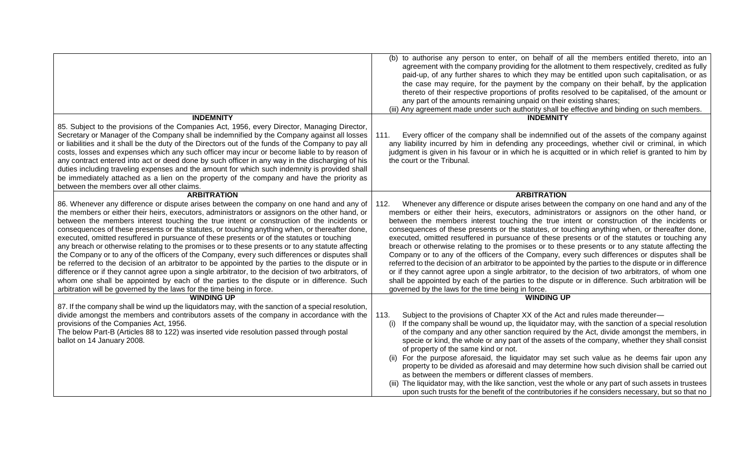|                                                                                                                                                                                                                                                                                                                                                                                                                                                                                                                                                                                                                                                                                                                                                                                                                                                                                                                                                                                                                                                                                 | (b) to authorise any person to enter, on behalf of all the members entitled thereto, into an<br>agreement with the company providing for the allotment to them respectively, credited as fully<br>paid-up, of any further shares to which they may be entitled upon such capitalisation, or as<br>the case may require, for the payment by the company on their behalf, by the application<br>thereto of their respective proportions of profits resolved to be capitalised, of the amount or<br>any part of the amounts remaining unpaid on their existing shares;<br>(iii) Any agreement made under such authority shall be effective and binding on such members.                                                                                                                                                                                                                                                                                                                                                                                                                |
|---------------------------------------------------------------------------------------------------------------------------------------------------------------------------------------------------------------------------------------------------------------------------------------------------------------------------------------------------------------------------------------------------------------------------------------------------------------------------------------------------------------------------------------------------------------------------------------------------------------------------------------------------------------------------------------------------------------------------------------------------------------------------------------------------------------------------------------------------------------------------------------------------------------------------------------------------------------------------------------------------------------------------------------------------------------------------------|-------------------------------------------------------------------------------------------------------------------------------------------------------------------------------------------------------------------------------------------------------------------------------------------------------------------------------------------------------------------------------------------------------------------------------------------------------------------------------------------------------------------------------------------------------------------------------------------------------------------------------------------------------------------------------------------------------------------------------------------------------------------------------------------------------------------------------------------------------------------------------------------------------------------------------------------------------------------------------------------------------------------------------------------------------------------------------------|
| <b>INDEMNITY</b><br>85. Subject to the provisions of the Companies Act, 1956, every Director, Managing Director,                                                                                                                                                                                                                                                                                                                                                                                                                                                                                                                                                                                                                                                                                                                                                                                                                                                                                                                                                                | <b>INDEMNITY</b>                                                                                                                                                                                                                                                                                                                                                                                                                                                                                                                                                                                                                                                                                                                                                                                                                                                                                                                                                                                                                                                                    |
| Secretary or Manager of the Company shall be indemnified by the Company against all losses<br>or liabilities and it shall be the duty of the Directors out of the funds of the Company to pay all<br>costs, losses and expenses which any such officer may incur or become liable to by reason of<br>any contract entered into act or deed done by such officer in any way in the discharging of his<br>duties including traveling expenses and the amount for which such indemnity is provided shall<br>be immediately attached as a lien on the property of the company and have the priority as<br>between the members over all other claims.                                                                                                                                                                                                                                                                                                                                                                                                                                | Every officer of the company shall be indemnified out of the assets of the company against<br>111.<br>any liability incurred by him in defending any proceedings, whether civil or criminal, in which<br>judgment is given in his favour or in which he is acquitted or in which relief is granted to him by<br>the court or the Tribunal.                                                                                                                                                                                                                                                                                                                                                                                                                                                                                                                                                                                                                                                                                                                                          |
| <b>ARBITRATION</b>                                                                                                                                                                                                                                                                                                                                                                                                                                                                                                                                                                                                                                                                                                                                                                                                                                                                                                                                                                                                                                                              | <b>ARBITRATION</b>                                                                                                                                                                                                                                                                                                                                                                                                                                                                                                                                                                                                                                                                                                                                                                                                                                                                                                                                                                                                                                                                  |
| 86. Whenever any difference or dispute arises between the company on one hand and any of<br>the members or either their heirs, executors, administrators or assignors on the other hand, or<br>between the members interest touching the true intent or construction of the incidents or<br>consequences of these presents or the statutes, or touching anything when, or thereafter done,<br>executed, omitted resuffered in pursuance of these presents or of the statutes or touching<br>any breach or otherwise relating to the promises or to these presents or to any statute affecting<br>the Company or to any of the officers of the Company, every such differences or disputes shall<br>be referred to the decision of an arbitrator to be appointed by the parties to the dispute or in<br>difference or if they cannot agree upon a single arbitrator, to the decision of two arbitrators, of<br>whom one shall be appointed by each of the parties to the dispute or in difference. Such<br>arbitration will be governed by the laws for the time being in force. | Whenever any difference or dispute arises between the company on one hand and any of the<br>112.<br>members or either their heirs, executors, administrators or assignors on the other hand, or<br>between the members interest touching the true intent or construction of the incidents or<br>consequences of these presents or the statutes, or touching anything when, or thereafter done,<br>executed, omitted resuffered in pursuance of these presents or of the statutes or touching any<br>breach or otherwise relating to the promises or to these presents or to any statute affecting the<br>Company or to any of the officers of the Company, every such differences or disputes shall be<br>referred to the decision of an arbitrator to be appointed by the parties to the dispute or in difference<br>or if they cannot agree upon a single arbitrator, to the decision of two arbitrators, of whom one<br>shall be appointed by each of the parties to the dispute or in difference. Such arbitration will be<br>governed by the laws for the time being in force. |
| <b>WINDING UP</b>                                                                                                                                                                                                                                                                                                                                                                                                                                                                                                                                                                                                                                                                                                                                                                                                                                                                                                                                                                                                                                                               | <b>WINDING UP</b>                                                                                                                                                                                                                                                                                                                                                                                                                                                                                                                                                                                                                                                                                                                                                                                                                                                                                                                                                                                                                                                                   |
| 87. If the company shall be wind up the liquidators may, with the sanction of a special resolution,<br>divide amongst the members and contributors assets of the company in accordance with the<br>provisions of the Companies Act, 1956.<br>The below Part-B (Articles 88 to 122) was inserted vide resolution passed through postal<br>ballot on 14 January 2008.                                                                                                                                                                                                                                                                                                                                                                                                                                                                                                                                                                                                                                                                                                             | 113.<br>Subject to the provisions of Chapter XX of the Act and rules made thereunder-<br>If the company shall be wound up, the liquidator may, with the sanction of a special resolution<br>(i)<br>of the company and any other sanction required by the Act, divide amongst the members, in<br>specie or kind, the whole or any part of the assets of the company, whether they shall consist<br>of property of the same kind or not.<br>(ii) For the purpose aforesaid, the liquidator may set such value as he deems fair upon any<br>property to be divided as aforesaid and may determine how such division shall be carried out<br>as between the members or different classes of members.<br>(iii) The liquidator may, with the like sanction, vest the whole or any part of such assets in trustees<br>upon such trusts for the benefit of the contributories if he considers necessary, but so that no                                                                                                                                                                     |